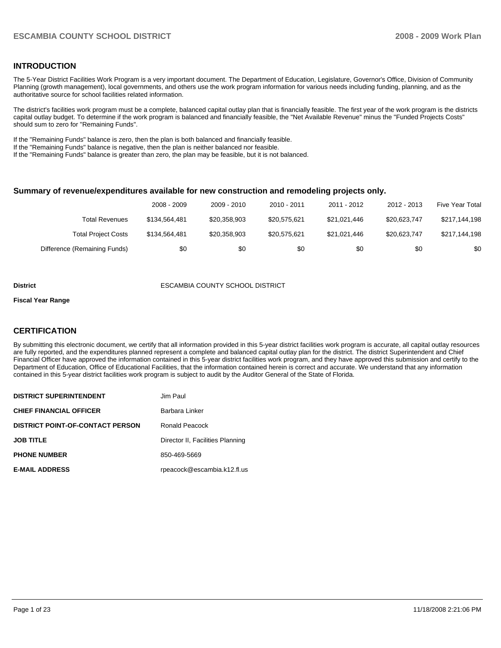#### **INTRODUCTION**

The 5-Year District Facilities Work Program is a very important document. The Department of Education, Legislature, Governor's Office, Division of Community Planning (growth management), local governments, and others use the work program information for various needs including funding, planning, and as the authoritative source for school facilities related information.

The district's facilities work program must be a complete, balanced capital outlay plan that is financially feasible. The first year of the work program is the districts capital outlay budget. To determine if the work program is balanced and financially feasible, the "Net Available Revenue" minus the "Funded Projects Costs" should sum to zero for "Remaining Funds".

If the "Remaining Funds" balance is zero, then the plan is both balanced and financially feasible.

If the "Remaining Funds" balance is negative, then the plan is neither balanced nor feasible.

If the "Remaining Funds" balance is greater than zero, the plan may be feasible, but it is not balanced.

#### **Summary of revenue/expenditures available for new construction and remodeling projects only.**

|                              | 2008 - 2009   | 2009 - 2010  | $2010 - 2011$ | 2011 - 2012  | 2012 - 2013  | <b>Five Year Total</b> |
|------------------------------|---------------|--------------|---------------|--------------|--------------|------------------------|
| Total Revenues               | \$134.564.481 | \$20,358,903 | \$20.575.621  | \$21.021.446 | \$20.623.747 | \$217,144,198          |
| <b>Total Project Costs</b>   | \$134.564.481 | \$20,358,903 | \$20.575.621  | \$21.021.446 | \$20.623.747 | \$217,144,198          |
| Difference (Remaining Funds) | \$0           | \$0          | \$0           | \$0          | \$0          | \$0                    |

#### **District** ESCAMBIA COUNTY SCHOOL DISTRICT

#### **Fiscal Year Range**

#### **CERTIFICATION**

By submitting this electronic document, we certify that all information provided in this 5-year district facilities work program is accurate, all capital outlay resources are fully reported, and the expenditures planned represent a complete and balanced capital outlay plan for the district. The district Superintendent and Chief Financial Officer have approved the information contained in this 5-year district facilities work program, and they have approved this submission and certify to the Department of Education, Office of Educational Facilities, that the information contained herein is correct and accurate. We understand that any information contained in this 5-year district facilities work program is subject to audit by the Auditor General of the State of Florida.

| <b>DISTRICT SUPERINTENDENT</b>          | Jim Paul                         |
|-----------------------------------------|----------------------------------|
| <b>CHIEF FINANCIAL OFFICER</b>          | Barbara Linker                   |
| <b>DISTRICT POINT-OF-CONTACT PERSON</b> | Ronald Peacock                   |
| <b>JOB TITLE</b>                        | Director II, Facilities Planning |
| <b>PHONE NUMBER</b>                     | 850-469-5669                     |
| <b>E-MAIL ADDRESS</b>                   | rpeacock@escambia.k12.fl.us      |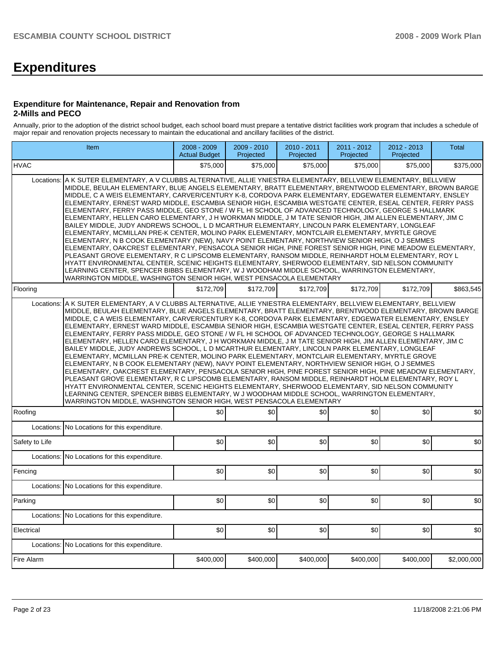# **Expenditures**

#### **Expenditure for Maintenance, Repair and Renovation from 2-Mills and PECO**

Annually, prior to the adoption of the district school budget, each school board must prepare a tentative district facilities work program that includes a schedule of major repair and renovation projects necessary to maintain the educational and ancillary facilities of the district.

|                | Item                                                                                                                                                                                                                                                                                                                                                                                                                                                                                                                                                                                                                                                                                                                                                                                                                                                                                                                                                                                                                                                                                                                                                                                                                                                                                                                                                                                                                                                            | 2008 - 2009<br><b>Actual Budget</b> | 2009 - 2010<br>Projected | 2010 - 2011<br>Projected | 2011 - 2012<br>Projected | 2012 - 2013<br>Projected | <b>Total</b> |  |  |  |  |  |
|----------------|-----------------------------------------------------------------------------------------------------------------------------------------------------------------------------------------------------------------------------------------------------------------------------------------------------------------------------------------------------------------------------------------------------------------------------------------------------------------------------------------------------------------------------------------------------------------------------------------------------------------------------------------------------------------------------------------------------------------------------------------------------------------------------------------------------------------------------------------------------------------------------------------------------------------------------------------------------------------------------------------------------------------------------------------------------------------------------------------------------------------------------------------------------------------------------------------------------------------------------------------------------------------------------------------------------------------------------------------------------------------------------------------------------------------------------------------------------------------|-------------------------------------|--------------------------|--------------------------|--------------------------|--------------------------|--------------|--|--|--|--|--|
| <b>HVAC</b>    |                                                                                                                                                                                                                                                                                                                                                                                                                                                                                                                                                                                                                                                                                                                                                                                                                                                                                                                                                                                                                                                                                                                                                                                                                                                                                                                                                                                                                                                                 | \$75,000                            | \$75,000                 | \$75,000                 | \$75,000                 | \$75,000                 | \$375,000    |  |  |  |  |  |
| Locations:     | A K SUTER ELEMENTARY, A V CLUBBS ALTERNATIVE, ALLIE YNIESTRA ELEMENTARY, BELLVIEW ELEMENTARY, BELLVIEW<br>MIDDLE. BEULAH ELEMENTARY. BLUE ANGELS ELEMENTARY. BRATT ELEMENTARY. BRENTWOOD ELEMENTARY. BROWN BARGE<br>MIDDLE, C A WEIS ELEMENTARY, CARVER/CENTURY K-8, CORDOVA PARK ELEMENTARY, EDGEWATER ELEMENTARY, ENSLEY<br>ELEMENTARY, ERNEST WARD MIDDLE, ESCAMBIA SENIOR HIGH, ESCAMBIA WESTGATE CENTER, ESEAL CENTER, FERRY PASS<br>ELEMENTARY, FERRY PASS MIDDLE, GEO STONE / W FL HI SCHOOL OF ADVANCED TECHNOLOGY, GEORGE S HALLMARK<br>ELEMENTARY, HELLEN CARO ELEMENTARY, J H WORKMAN MIDDLE, J M TATE SENIOR HIGH, JIM ALLEN ELEMENTARY, JIM C<br>BAILEY MIDDLE, JUDY ANDREWS SCHOOL, L D MCARTHUR ELEMENTARY, LINCOLN PARK ELEMENTARY, LONGLEAF<br>ELEMENTARY, MCMILLAN PRE-K CENTER, MOLINO PARK ELEMENTARY, MONTCLAIR ELEMENTARY, MYRTLE GROVE<br>ELEMENTARY, N B COOK ELEMENTARY (NEW), NAVY POINT ELEMENTARY, NORTHVIEW SENIOR HIGH, O J SEMMES<br>ELEMENTARY, OAKCREST ELEMENTARY, PENSACOLA SENIOR HIGH, PINE FOREST SENIOR HIGH, PINE MEADOW ELEMENTARY,<br>PLEASANT GROVE ELEMENTARY, R C LIPSCOMB ELEMENTARY, RANSOM MIDDLE, REINHARDT HOLM ELEMENTARY, ROY L<br>HYATT ENVIRONMENTAL CENTER, SCENIC HEIGHTS ELEMENTARY, SHERWOOD ELEMENTARY, SID NELSON COMMUNITY<br>LEARNING CENTER, SPENCER BIBBS ELEMENTARY, W J WOODHAM MIDDLE SCHOOL, WARRINGTON ELEMENTARY,<br>WARRINGTON MIDDLE, WASHINGTON SENIOR HIGH, WEST PENSACOLA ELEMENTARY |                                     |                          |                          |                          |                          |              |  |  |  |  |  |
| Flooring       |                                                                                                                                                                                                                                                                                                                                                                                                                                                                                                                                                                                                                                                                                                                                                                                                                                                                                                                                                                                                                                                                                                                                                                                                                                                                                                                                                                                                                                                                 | \$172.709                           | \$172.709                | \$172.709                | \$172,709                | \$172.709                | \$863.545    |  |  |  |  |  |
| Locations:     | A K SUTER ELEMENTARY, A V CLUBBS ALTERNATIVE, ALLIE YNIESTRA ELEMENTARY, BELLVIEW ELEMENTARY, BELLVIEW<br>MIDDLE, BEULAH ELEMENTARY, BLUE ANGELS ELEMENTARY, BRATT ELEMENTARY, BRENTWOOD ELEMENTARY, BROWN BARGE<br>MIDDLE, C A WEIS ELEMENTARY, CARVER/CENTURY K-8, CORDOVA PARK ELEMENTARY, EDGEWATER ELEMENTARY, ENSLEY<br>ELEMENTARY, ERNEST WARD MIDDLE, ESCAMBIA SENIOR HIGH, ESCAMBIA WESTGATE CENTER, ESEAL CENTER, FERRY PASS<br>ELEMENTARY, FERRY PASS MIDDLE, GEO STONE / W FL HI SCHOOL OF ADVANCED TECHNOLOGY, GEORGE S HALLMARK<br>ELEMENTARY, HELLEN CARO ELEMENTARY, J H WORKMAN MIDDLE, J M TATE SENIOR HIGH, JIM ALLEN ELEMENTARY, JIM C<br>BAILEY MIDDLE, JUDY ANDREWS SCHOOL, L D MCARTHUR ELEMENTARY, LINCOLN PARK ELEMENTARY, LONGLEAF<br>ELEMENTARY, MCMILLAN PRE-K CENTER, MOLINO PARK ELEMENTARY, MONTCLAIR ELEMENTARY, MYRTLE GROVE<br>ELEMENTARY, N B COOK ELEMENTARY (NEW), NAVY POINT ELEMENTARY, NORTHVIEW SENIOR HIGH, O J SEMMES<br>ELEMENTARY, OAKCREST ELEMENTARY, PENSACOLA SENIOR HIGH, PINE FOREST SENIOR HIGH, PINE MEADOW ELEMENTARY,<br>PLEASANT GROVE ELEMENTARY, R C LIPSCOMB ELEMENTARY, RANSOM MIDDLE, REINHARDT HOLM ELEMENTARY, ROY L<br>HYATT ENVIRONMENTAL CENTER, SCENIC HEIGHTS ELEMENTARY, SHERWOOD ELEMENTARY, SID NELSON COMMUNITY<br>LEARNING CENTER, SPENCER BIBBS ELEMENTARY, W J WOODHAM MIDDLE SCHOOL, WARRINGTON ELEMENTARY,<br>WARRINGTON MIDDLE, WASHINGTON SENIOR HIGH, WEST PENSACOLA ELEMENTARY |                                     |                          |                          |                          |                          |              |  |  |  |  |  |
| Roofing        |                                                                                                                                                                                                                                                                                                                                                                                                                                                                                                                                                                                                                                                                                                                                                                                                                                                                                                                                                                                                                                                                                                                                                                                                                                                                                                                                                                                                                                                                 | \$0                                 | \$0                      | \$0                      | \$0                      | \$0                      | \$0          |  |  |  |  |  |
| Locations:     | No Locations for this expenditure.                                                                                                                                                                                                                                                                                                                                                                                                                                                                                                                                                                                                                                                                                                                                                                                                                                                                                                                                                                                                                                                                                                                                                                                                                                                                                                                                                                                                                              |                                     |                          |                          |                          |                          |              |  |  |  |  |  |
| Safety to Life |                                                                                                                                                                                                                                                                                                                                                                                                                                                                                                                                                                                                                                                                                                                                                                                                                                                                                                                                                                                                                                                                                                                                                                                                                                                                                                                                                                                                                                                                 | \$0                                 | \$0                      | \$0                      | \$0                      | \$0                      | \$0          |  |  |  |  |  |
| Locations:     | No Locations for this expenditure.                                                                                                                                                                                                                                                                                                                                                                                                                                                                                                                                                                                                                                                                                                                                                                                                                                                                                                                                                                                                                                                                                                                                                                                                                                                                                                                                                                                                                              |                                     |                          |                          |                          |                          |              |  |  |  |  |  |
| Fencing        |                                                                                                                                                                                                                                                                                                                                                                                                                                                                                                                                                                                                                                                                                                                                                                                                                                                                                                                                                                                                                                                                                                                                                                                                                                                                                                                                                                                                                                                                 | \$0                                 | \$0                      | \$0                      | \$0                      | \$0                      | \$0          |  |  |  |  |  |
| Locations:     | No Locations for this expenditure.                                                                                                                                                                                                                                                                                                                                                                                                                                                                                                                                                                                                                                                                                                                                                                                                                                                                                                                                                                                                                                                                                                                                                                                                                                                                                                                                                                                                                              |                                     |                          |                          |                          |                          |              |  |  |  |  |  |
| Parking        |                                                                                                                                                                                                                                                                                                                                                                                                                                                                                                                                                                                                                                                                                                                                                                                                                                                                                                                                                                                                                                                                                                                                                                                                                                                                                                                                                                                                                                                                 | \$0                                 | \$0                      | \$0                      | \$0                      | \$0                      | \$0          |  |  |  |  |  |
| Locations:     | No Locations for this expenditure.                                                                                                                                                                                                                                                                                                                                                                                                                                                                                                                                                                                                                                                                                                                                                                                                                                                                                                                                                                                                                                                                                                                                                                                                                                                                                                                                                                                                                              |                                     |                          |                          |                          |                          |              |  |  |  |  |  |
| Electrical     |                                                                                                                                                                                                                                                                                                                                                                                                                                                                                                                                                                                                                                                                                                                                                                                                                                                                                                                                                                                                                                                                                                                                                                                                                                                                                                                                                                                                                                                                 | \$0                                 | \$0                      | \$0                      | \$0                      | \$0                      | \$0          |  |  |  |  |  |
| Locations:     | No Locations for this expenditure.                                                                                                                                                                                                                                                                                                                                                                                                                                                                                                                                                                                                                                                                                                                                                                                                                                                                                                                                                                                                                                                                                                                                                                                                                                                                                                                                                                                                                              |                                     |                          |                          |                          |                          |              |  |  |  |  |  |
| Fire Alarm     |                                                                                                                                                                                                                                                                                                                                                                                                                                                                                                                                                                                                                                                                                                                                                                                                                                                                                                                                                                                                                                                                                                                                                                                                                                                                                                                                                                                                                                                                 | \$400,000                           | \$400,000                | \$400,000                | \$400,000                | \$400,000                | \$2,000,000  |  |  |  |  |  |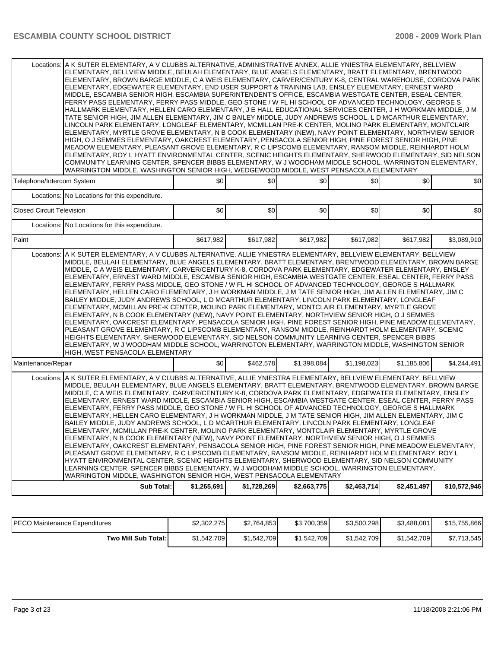|                                                                                                                                                                                                                                                                                                                                                                                                                                                                                                                                                                                                                                                                                                                                                                                                                                                                                                                                                                                                                                                                                                                                                                                                                                                                                                                                                                                                                                             | Locations: A K SUTER ELEMENTARY, A V CLUBBS ALTERNATIVE, ADMINISTRATIVE ANNEX, ALLIE YNIESTRA ELEMENTARY, BELLVIEW<br>ELEMENTARY, BELLVIEW MIDDLE, BEULAH ELEMENTARY, BLUE ANGELS ELEMENTARY, BRATT ELEMENTARY, BRENTWOOD<br>ELEMENTARY, BROWN BARGE MIDDLE, C A WEIS ELEMENTARY, CARVER/CENTURY K-8, CENTRAL WAREHOUSE, CORDOVA PARK<br>ELEMENTARY, EDGEWATER ELEMENTARY, END USER SUPPORT & TRAINING LAB, ENSLEY ELEMENTARY, ERNEST WARD<br>MIDDLE, ESCAMBIA SENIOR HIGH, ESCAMBIA SUPERINTENDENT'S OFFICE, ESCAMBIA WESTGATE CENTER, ESEAL CENTER,<br>FERRY PASS ELEMENTARY, FERRY PASS MIDDLE, GEO STONE / W FL HI SCHOOL OF ADVANCED TECHNOLOGY, GEORGE S<br>HALLMARK ELEMENTARY, HELLEN CARO ELEMENTARY, J E HALL EDUCATIONAL SERVICES CENTER, J H WORKMAN MIDDLE, J M<br>TATE SENIOR HIGH, JIM ALLEN ELEMENTARY, JIM C BAILEY MIDDLE, JUDY ANDREWS SCHOOL, L D MCARTHUR ELEMENTARY,<br>LINCOLN PARK ELEMENTARY, LONGLEAF ELEMENTARY, MCMILLAN PRE-K CENTER, MOLINO PARK ELEMENTARY, MONTCLAIR<br>ELEMENTARY, MYRTLE GROVE ELEMENTARY, N B COOK ELEMENTARY (NEW), NAVY POINT ELEMENTARY, NORTHVIEW SENIOR<br>HIGH, O J SEMMES ELEMENTARY, OAKCREST ELEMENTARY, PENSACOLA SENIOR HIGH, PINE FOREST SENIOR HIGH, PINE<br>MEADOW ELEMENTARY, PLEASANT GROVE ELEMENTARY, R C LIPSCOMB ELEMENTARY, RANSOM MIDDLE, REINHARDT HOLM<br>ELEMENTARY, ROY L HYATT ENVIRONMENTAL CENTER, SCENIC HEIGHTS ELEMENTARY, SHERWOOD ELEMENTARY, SID NELSON                              |             |             |             |             |             |              |  |  |  |  |
|---------------------------------------------------------------------------------------------------------------------------------------------------------------------------------------------------------------------------------------------------------------------------------------------------------------------------------------------------------------------------------------------------------------------------------------------------------------------------------------------------------------------------------------------------------------------------------------------------------------------------------------------------------------------------------------------------------------------------------------------------------------------------------------------------------------------------------------------------------------------------------------------------------------------------------------------------------------------------------------------------------------------------------------------------------------------------------------------------------------------------------------------------------------------------------------------------------------------------------------------------------------------------------------------------------------------------------------------------------------------------------------------------------------------------------------------|----------------------------------------------------------------------------------------------------------------------------------------------------------------------------------------------------------------------------------------------------------------------------------------------------------------------------------------------------------------------------------------------------------------------------------------------------------------------------------------------------------------------------------------------------------------------------------------------------------------------------------------------------------------------------------------------------------------------------------------------------------------------------------------------------------------------------------------------------------------------------------------------------------------------------------------------------------------------------------------------------------------------------------------------------------------------------------------------------------------------------------------------------------------------------------------------------------------------------------------------------------------------------------------------------------------------------------------------------------------------------------------------------------------------------------------------------------------------------|-------------|-------------|-------------|-------------|-------------|--------------|--|--|--|--|
|                                                                                                                                                                                                                                                                                                                                                                                                                                                                                                                                                                                                                                                                                                                                                                                                                                                                                                                                                                                                                                                                                                                                                                                                                                                                                                                                                                                                                                             | COMMUNITY LEARNING CENTER, SPENCER BIBBS ELEMENTARY, W J WOODHAM MIDDLE SCHOOL, WARRINGTON ELEMENTARY,<br>WARRINGTON MIDDLE, WASHINGTON SENIOR HIGH, WEDGEWOOD MIDDLE, WEST PENSACOLA ELEMENTARY                                                                                                                                                                                                                                                                                                                                                                                                                                                                                                                                                                                                                                                                                                                                                                                                                                                                                                                                                                                                                                                                                                                                                                                                                                                                           |             |             |             |             |             |              |  |  |  |  |
| Telephone/Intercom System                                                                                                                                                                                                                                                                                                                                                                                                                                                                                                                                                                                                                                                                                                                                                                                                                                                                                                                                                                                                                                                                                                                                                                                                                                                                                                                                                                                                                   |                                                                                                                                                                                                                                                                                                                                                                                                                                                                                                                                                                                                                                                                                                                                                                                                                                                                                                                                                                                                                                                                                                                                                                                                                                                                                                                                                                                                                                                                            | \$0         | \$0         | \$0         | \$0         | \$0         | \$0          |  |  |  |  |
|                                                                                                                                                                                                                                                                                                                                                                                                                                                                                                                                                                                                                                                                                                                                                                                                                                                                                                                                                                                                                                                                                                                                                                                                                                                                                                                                                                                                                                             | Locations: No Locations for this expenditure.                                                                                                                                                                                                                                                                                                                                                                                                                                                                                                                                                                                                                                                                                                                                                                                                                                                                                                                                                                                                                                                                                                                                                                                                                                                                                                                                                                                                                              |             |             |             |             |             |              |  |  |  |  |
| <b>Closed Circuit Television</b>                                                                                                                                                                                                                                                                                                                                                                                                                                                                                                                                                                                                                                                                                                                                                                                                                                                                                                                                                                                                                                                                                                                                                                                                                                                                                                                                                                                                            |                                                                                                                                                                                                                                                                                                                                                                                                                                                                                                                                                                                                                                                                                                                                                                                                                                                                                                                                                                                                                                                                                                                                                                                                                                                                                                                                                                                                                                                                            | \$0         | \$0         | \$0         | \$0         | \$0         | \$0          |  |  |  |  |
|                                                                                                                                                                                                                                                                                                                                                                                                                                                                                                                                                                                                                                                                                                                                                                                                                                                                                                                                                                                                                                                                                                                                                                                                                                                                                                                                                                                                                                             | Locations: No Locations for this expenditure.                                                                                                                                                                                                                                                                                                                                                                                                                                                                                                                                                                                                                                                                                                                                                                                                                                                                                                                                                                                                                                                                                                                                                                                                                                                                                                                                                                                                                              |             |             |             |             |             |              |  |  |  |  |
| Paint                                                                                                                                                                                                                                                                                                                                                                                                                                                                                                                                                                                                                                                                                                                                                                                                                                                                                                                                                                                                                                                                                                                                                                                                                                                                                                                                                                                                                                       |                                                                                                                                                                                                                                                                                                                                                                                                                                                                                                                                                                                                                                                                                                                                                                                                                                                                                                                                                                                                                                                                                                                                                                                                                                                                                                                                                                                                                                                                            | \$617,982   | \$617,982   | \$617,982   | \$617,982   | \$617.982   | \$3,089,910  |  |  |  |  |
| Å K SUTER ELEMENTARY. A V CLUBBS ALTERNATIVE. ALLIE YNIESTRA ELEMENTARY. BELLVIEW ELEMENTARY. BELLVIEW<br>Locations:<br>MIDDLE, BEULAH ELEMENTARY, BLUE ANGELS ELEMENTARY, BRATT ELEMENTARY, BRENTWOOD ELEMENTARY, BROWN BARGE<br>MIDDLE, C A WEIS ELEMENTARY, CARVER/CENTURY K-8, CORDOVA PARK ELEMENTARY, EDGEWATER ELEMENTARY, ENSLEY<br>ELEMENTARY, ERNEST WARD MIDDLE, ESCAMBIA SENIOR HIGH, ESCAMBIA WESTGATE CENTER, ESEAL CENTER, FERRY PASS<br>ELEMENTARY, FERRY PASS MIDDLE, GEO STONE / W FL HI SCHOOL OF ADVANCED TECHNOLOGY, GEORGE S HALLMARK<br>ELEMENTARY, HELLEN CARO ELEMENTARY, J H WORKMAN MIDDLE, J M TATE SENIOR HIGH, JIM ALLEN ELEMENTARY, JIM C<br>BAILEY MIDDLE, JUDY ANDREWS SCHOOL, L D MCARTHUR ELEMENTARY, LINCOLN PARK ELEMENTARY, LONGLEAF<br>ELEMENTARY, MCMILLAN PRE-K CENTER, MOLINO PARK ELEMENTARY, MONTCLAIR ELEMENTARY, MYRTLE GROVE<br>ELEMENTARY, N B COOK ELEMENTARY (NEW), NAVY POINT ELEMENTARY, NORTHVIEW SENIOR HIGH, O J SEMMES<br>ELEMENTARY, OAKCREST ELEMENTARY, PENSACOLA SENIOR HIGH, PINE FOREST SENIOR HIGH, PINE MEADOW ELEMENTARY,<br>PLEASANT GROVE ELEMENTARY, R C LIPSCOMB ELEMENTARY, RANSOM MIDDLE, REINHARDT HOLM ELEMENTARY, SCENIC<br>HEIGHTS ELEMENTARY, SHERWOOD ELEMENTARY, SID NELSON COMMUNITY LEARNING CENTER, SPENCER BIBBS<br>ELEMENTARY, W J WOODHAM MIDDLE SCHOOL, WARRINGTON ELEMENTARY, WARRINGTON MIDDLE, WASHINGTON SENIOR<br>HIGH, WEST PENSACOLA ELEMENTARY |                                                                                                                                                                                                                                                                                                                                                                                                                                                                                                                                                                                                                                                                                                                                                                                                                                                                                                                                                                                                                                                                                                                                                                                                                                                                                                                                                                                                                                                                            |             |             |             |             |             |              |  |  |  |  |
| Maintenance/Repair                                                                                                                                                                                                                                                                                                                                                                                                                                                                                                                                                                                                                                                                                                                                                                                                                                                                                                                                                                                                                                                                                                                                                                                                                                                                                                                                                                                                                          |                                                                                                                                                                                                                                                                                                                                                                                                                                                                                                                                                                                                                                                                                                                                                                                                                                                                                                                                                                                                                                                                                                                                                                                                                                                                                                                                                                                                                                                                            | \$0         | \$462,578   | \$1,398,084 | \$1,198,023 | \$1,185,806 | \$4,244,491  |  |  |  |  |
|                                                                                                                                                                                                                                                                                                                                                                                                                                                                                                                                                                                                                                                                                                                                                                                                                                                                                                                                                                                                                                                                                                                                                                                                                                                                                                                                                                                                                                             | Locations: A K SUTER ELEMENTARY, A V CLUBBS ALTERNATIVE, ALLIE YNIESTRA ELEMENTARY, BELLVIEW ELEMENTARY, BELLVIEW<br>MIDDLE, BEULAH ELEMENTARY, BLUE ANGELS ELEMENTARY, BRATT ELEMENTARY, BRENTWOOD ELEMENTARY, BROWN BARGE<br>MIDDLE, C A WEIS ELEMENTARY, CARVER/CENTURY K-8, CORDOVA PARK ELEMENTARY, EDGEWATER ELEMENTARY, ENSLEY<br>ELEMENTARY, ERNEST WARD MIDDLE, ESCAMBIA SENIOR HIGH, ESCAMBIA WESTGATE CENTER, ESEAL CENTER, FERRY PASS<br>ELEMENTARY, FERRY PASS MIDDLE, GEO STONE / W FL HI SCHOOL OF ADVANCED TECHNOLOGY, GEORGE S HALLMARK<br>ELEMENTARY, HELLEN CARO ELEMENTARY, J H WORKMAN MIDDLE, J M TATE SENIOR HIGH, JIM ALLEN ELEMENTARY, JIM C<br>BAILEY MIDDLE, JUDY ANDREWS SCHOOL, L D MCARTHUR ELEMENTARY, LINCOLN PARK ELEMENTARY, LONGLEAF<br>ELEMENTARY, MCMILLAN PRE-K CENTER, MOLINO PARK ELEMENTARY, MONTCLAIR ELEMENTARY, MYRTLE GROVE<br>ELEMENTARY, N B COOK ELEMENTARY (NEW), NAVY POINT ELEMENTARY, NORTHVIEW SENIOR HIGH, O J SEMMES<br>ELEMENTARY, OAKCREST ELEMENTARY, PENSACOLA SENIOR HIGH, PINE FOREST SENIOR HIGH, PINE MEADOW ELEMENTARY,<br>PLEASANT GROVE ELEMENTARY, R C LIPSCOMB ELEMENTARY, RANSOM MIDDLE, REINHARDT HOLM ELEMENTARY, ROY L<br>HYATT ENVIRONMENTAL CENTER, SCENIC HEIGHTS ELEMENTARY, SHERWOOD ELEMENTARY, SID NELSON COMMUNITY<br>LEARNING CENTER, SPENCER BIBBS ELEMENTARY, W J WOODHAM MIDDLE SCHOOL, WARRINGTON ELEMENTARY,<br>WARRINGTON MIDDLE, WASHINGTON SENIOR HIGH, WEST PENSACOLA ELEMENTARY |             |             |             |             |             |              |  |  |  |  |
|                                                                                                                                                                                                                                                                                                                                                                                                                                                                                                                                                                                                                                                                                                                                                                                                                                                                                                                                                                                                                                                                                                                                                                                                                                                                                                                                                                                                                                             | <b>Sub Total:</b>                                                                                                                                                                                                                                                                                                                                                                                                                                                                                                                                                                                                                                                                                                                                                                                                                                                                                                                                                                                                                                                                                                                                                                                                                                                                                                                                                                                                                                                          | \$1,265,691 | \$1,728,269 | \$2,663,775 | \$2,463,714 | \$2,451,497 | \$10,572,946 |  |  |  |  |

| <b>PECO Maintenance Expenditures</b> | \$2,302,275 | \$2,764,853 | \$3,700,359 | \$3,500,298 | \$3,488,081 | \$15,755,866 |
|--------------------------------------|-------------|-------------|-------------|-------------|-------------|--------------|
| Two Mill Sub Total:                  | \$1,542,709 | \$1,542,709 | \$1.542.709 | \$1,542,709 | \$1,542,709 | \$7,713,545  |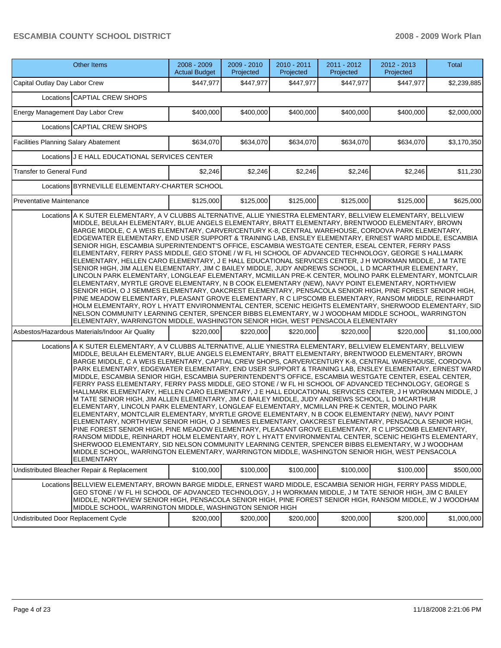| Other Items                                                                                                                                                                                                                                                                                                                                                                                                                                                                                                                                                                                                                                                                                                                                                                                                                                                                                                                                                                                                                                                                                                                                                                                                                                                                                                                                                                                                                                                                                                                                                                                                                                                                                                                                                                                                                                                                                                                                                                                                                                                                                                                                                                                                                                                                                                                                                                                                                                                                                                                                                                                                                                                                                                                                                                                                                                                                                                                                                                                                                                                                                                                                                                       | 2008 - 2009<br><b>Actual Budget</b> | 2009 - 2010<br>Projected | 2010 - 2011<br>Projected | 2011 - 2012<br>Projected | 2012 - 2013<br>Projected | <b>Total</b> |
|-----------------------------------------------------------------------------------------------------------------------------------------------------------------------------------------------------------------------------------------------------------------------------------------------------------------------------------------------------------------------------------------------------------------------------------------------------------------------------------------------------------------------------------------------------------------------------------------------------------------------------------------------------------------------------------------------------------------------------------------------------------------------------------------------------------------------------------------------------------------------------------------------------------------------------------------------------------------------------------------------------------------------------------------------------------------------------------------------------------------------------------------------------------------------------------------------------------------------------------------------------------------------------------------------------------------------------------------------------------------------------------------------------------------------------------------------------------------------------------------------------------------------------------------------------------------------------------------------------------------------------------------------------------------------------------------------------------------------------------------------------------------------------------------------------------------------------------------------------------------------------------------------------------------------------------------------------------------------------------------------------------------------------------------------------------------------------------------------------------------------------------------------------------------------------------------------------------------------------------------------------------------------------------------------------------------------------------------------------------------------------------------------------------------------------------------------------------------------------------------------------------------------------------------------------------------------------------------------------------------------------------------------------------------------------------------------------------------------------------------------------------------------------------------------------------------------------------------------------------------------------------------------------------------------------------------------------------------------------------------------------------------------------------------------------------------------------------------------------------------------------------------------------------------------------------|-------------------------------------|--------------------------|--------------------------|--------------------------|--------------------------|--------------|
| Capital Outlay Day Labor Crew                                                                                                                                                                                                                                                                                                                                                                                                                                                                                                                                                                                                                                                                                                                                                                                                                                                                                                                                                                                                                                                                                                                                                                                                                                                                                                                                                                                                                                                                                                                                                                                                                                                                                                                                                                                                                                                                                                                                                                                                                                                                                                                                                                                                                                                                                                                                                                                                                                                                                                                                                                                                                                                                                                                                                                                                                                                                                                                                                                                                                                                                                                                                                     | \$447,977                           | \$447,977                | \$447,977                | \$447,977                | \$447,977                | \$2,239,885  |
| Locations CAPTIAL CREW SHOPS                                                                                                                                                                                                                                                                                                                                                                                                                                                                                                                                                                                                                                                                                                                                                                                                                                                                                                                                                                                                                                                                                                                                                                                                                                                                                                                                                                                                                                                                                                                                                                                                                                                                                                                                                                                                                                                                                                                                                                                                                                                                                                                                                                                                                                                                                                                                                                                                                                                                                                                                                                                                                                                                                                                                                                                                                                                                                                                                                                                                                                                                                                                                                      |                                     |                          |                          |                          |                          |              |
| Energy Management Day Labor Crew                                                                                                                                                                                                                                                                                                                                                                                                                                                                                                                                                                                                                                                                                                                                                                                                                                                                                                                                                                                                                                                                                                                                                                                                                                                                                                                                                                                                                                                                                                                                                                                                                                                                                                                                                                                                                                                                                                                                                                                                                                                                                                                                                                                                                                                                                                                                                                                                                                                                                                                                                                                                                                                                                                                                                                                                                                                                                                                                                                                                                                                                                                                                                  | \$400,000                           | \$400,000                | \$400,000                | \$400,000                | \$400,000                | \$2,000,000  |
| Locations CAPTIAL CREW SHOPS                                                                                                                                                                                                                                                                                                                                                                                                                                                                                                                                                                                                                                                                                                                                                                                                                                                                                                                                                                                                                                                                                                                                                                                                                                                                                                                                                                                                                                                                                                                                                                                                                                                                                                                                                                                                                                                                                                                                                                                                                                                                                                                                                                                                                                                                                                                                                                                                                                                                                                                                                                                                                                                                                                                                                                                                                                                                                                                                                                                                                                                                                                                                                      |                                     |                          |                          |                          |                          |              |
| Facilities Planning Salary Abatement                                                                                                                                                                                                                                                                                                                                                                                                                                                                                                                                                                                                                                                                                                                                                                                                                                                                                                                                                                                                                                                                                                                                                                                                                                                                                                                                                                                                                                                                                                                                                                                                                                                                                                                                                                                                                                                                                                                                                                                                                                                                                                                                                                                                                                                                                                                                                                                                                                                                                                                                                                                                                                                                                                                                                                                                                                                                                                                                                                                                                                                                                                                                              | \$634,070                           | \$634,070                | \$634,070                | \$634,070                | \$634,070                | \$3,170,350  |
| Locations J E HALL EDUCATIONAL SERVICES CENTER                                                                                                                                                                                                                                                                                                                                                                                                                                                                                                                                                                                                                                                                                                                                                                                                                                                                                                                                                                                                                                                                                                                                                                                                                                                                                                                                                                                                                                                                                                                                                                                                                                                                                                                                                                                                                                                                                                                                                                                                                                                                                                                                                                                                                                                                                                                                                                                                                                                                                                                                                                                                                                                                                                                                                                                                                                                                                                                                                                                                                                                                                                                                    |                                     |                          |                          |                          |                          |              |
| <b>Transfer to General Fund</b>                                                                                                                                                                                                                                                                                                                                                                                                                                                                                                                                                                                                                                                                                                                                                                                                                                                                                                                                                                                                                                                                                                                                                                                                                                                                                                                                                                                                                                                                                                                                                                                                                                                                                                                                                                                                                                                                                                                                                                                                                                                                                                                                                                                                                                                                                                                                                                                                                                                                                                                                                                                                                                                                                                                                                                                                                                                                                                                                                                                                                                                                                                                                                   | \$2,246                             | \$2,246                  | \$2,246                  | \$2,246                  | \$2,246                  | \$11,230     |
| Locations BYRNEVILLE ELEMENTARY-CHARTER SCHOOL                                                                                                                                                                                                                                                                                                                                                                                                                                                                                                                                                                                                                                                                                                                                                                                                                                                                                                                                                                                                                                                                                                                                                                                                                                                                                                                                                                                                                                                                                                                                                                                                                                                                                                                                                                                                                                                                                                                                                                                                                                                                                                                                                                                                                                                                                                                                                                                                                                                                                                                                                                                                                                                                                                                                                                                                                                                                                                                                                                                                                                                                                                                                    |                                     |                          |                          |                          |                          |              |
| <b>Preventative Maintenance</b>                                                                                                                                                                                                                                                                                                                                                                                                                                                                                                                                                                                                                                                                                                                                                                                                                                                                                                                                                                                                                                                                                                                                                                                                                                                                                                                                                                                                                                                                                                                                                                                                                                                                                                                                                                                                                                                                                                                                                                                                                                                                                                                                                                                                                                                                                                                                                                                                                                                                                                                                                                                                                                                                                                                                                                                                                                                                                                                                                                                                                                                                                                                                                   | \$125,000                           | \$125,000                | \$125,000                | \$125,000                | \$125,000                | \$625,000    |
| MIDDLE, BEULAH ELEMENTARY, BLUE ANGELS ELEMENTARY, BRATT ELEMENTARY, BRENTWOOD ELEMENTARY, BROWN<br>BARGE MIDDLE, C A WEIS ELEMENTARY, CARVER/CENTURY K-8, CENTRAL WAREHOUSE, CORDOVA PARK ELEMENTARY,<br>EDGEWATER ELEMENTARY, END USER SUPPORT & TRAINING LAB, ENSLEY ELEMENTARY, ERNEST WARD MIDDLE, ESCAMBIA<br>SENIOR HIGH, ESCAMBIA SUPERINTENDENT'S OFFICE, ESCAMBIA WESTGATE CENTER, ESEAL CENTER, FERRY PASS<br>ELEMENTARY. FERRY PASS MIDDLE. GEO STONE / W FL HI SCHOOL OF ADVANCED TECHNOLOGY. GEORGE S HALLMARK<br>ELEMENTARY, HELLEN CARO ELEMENTARY, J E HALL EDUCATIONAL SERVICES CENTER, J H WORKMAN MIDDLE, J M TATE<br>SENIOR HIGH, JIM ALLEN ELEMENTARY, JIM C BAILEY MIDDLE, JUDY ANDREWS SCHOOL, L D MCARTHUR ELEMENTARY,<br>LINCOLN PARK ELEMENTARY. LONGLEAF ELEMENTARY, MCMILLAN PRE-K CENTER, MOLINO PARK ELEMENTARY, MONTCLAIR<br>ELEMENTARY, MYRTLE GROVE ELEMENTARY, N B COOK ELEMENTARY (NEW), NAVY POINT ELEMENTARY, NORTHVIEW<br>SENIOR HIGH, O J SEMMES ELEMENTARY, OAKCREST ELEMENTARY, PENSACOLA SENIOR HIGH, PINE FOREST SENIOR HIGH,<br>PINE MEADOW ELEMENTARY, PLEASANT GROVE ELEMENTARY, R C LIPSCOMB ELEMENTARY, RANSOM MIDDLE, REINHARDT<br>HOLM ELEMENTARY, ROY L HYATT ENVIRONMENTAL CENTER, SCENIC HEIGHTS ELEMENTARY, SHERWOOD ELEMENTARY, SID<br>NELSON COMMUNITY LEARNING CENTER, SPENCER BIBBS ELEMENTARY, W J WOODHAM MIDDLE SCHOOL, WARRINGTON<br>ELEMENTARY, WARRINGTON MIDDLE, WASHINGTON SENIOR HIGH, WEST PENSACOLA ELEMENTARY<br>Asbestos/Hazardous Materials/Indoor Air Quality<br>Locations A K SUTER ELEMENTARY, A V CLUBBS ALTERNATIVE, ALLIE YNIESTRA ELEMENTARY, BELLVIEW ELEMENTARY, BELLVIEW<br>MIDDLE, BEULAH ELEMENTARY, BLUE ANGELS ELEMENTARY, BRATT ELEMENTARY, BRENTWOOD ELEMENTARY, BROWN<br>BARGE MIDDLE, C A WEIS ELEMENTARY, CAPTIAL CREW SHOPS, CARVER/CENTURY K-8, CENTRAL WAREHOUSE, CORDOVA<br>PARK ELEMENTARY, EDGEWATER ELEMENTARY, END USER SUPPORT & TRAINING LAB, ENSLEY ELEMENTARY, ERNEST WARD<br>MIDDLE, ESCAMBIA SENIOR HIGH, ESCAMBIA SUPERINTENDENT'S OFFICE, ESCAMBIA WESTGATE CENTER, ESEAL CENTER,<br>FERRY PASS ELEMENTARY, FERRY PASS MIDDLE, GEO STONE / W FL HI SCHOOL OF ADVANCED TECHNOLOGY, GEORGE S<br>HALLMARK ELEMENTARY, HELLEN CARO ELEMENTARY, J E HALL EDUCATIONAL SERVICES CENTER, J H WORKMAN MIDDLE, J<br>M TATE SENIOR HIGH, JIM ALLEN ELEMENTARY, JIM C BAILEY MIDDLE, JUDY ANDREWS SCHOOL, L D MCARTHUR<br>ELEMENTARY, LINCOLN PARK ELEMENTARY, LONGLEAF ELEMENTARY, MCMILLAN PRE-K CENTER, MOLINO PARK<br>ELEMENTARY, MONTCLAIR ELEMENTARY, MYRTLE GROVE ELEMENTARY, N B COOK ELEMENTARY (NEW), NAVY POINT<br>ELEMENTARY, NORTHVIEW SENIOR HIGH, O J SEMMES ELEMENTARY, OAKCREST ELEMENTARY, PENSACOLA SENIOR HIGH,<br>PINE FOREST SENIOR HIGH, PINE MEADOW ELEMENTARY, PLEASANT GROVE ELEMENTARY, R C LIPSCOMB ELEMENTARY,<br>RANSOM MIDDLE, REINHARDT HOLM ELEMENTARY, ROY L HYATT ENVIRONMENTAL CENTER, SCENIC HEIGHTS ELEMENTARY,<br>SHERWOOD ELEMENTARY, SID NELSON COMMUNITY LEARNING CENTER, SPENCER BIBBS ELEMENTARY, W J WOODHAM<br>MIDDLE SCHOOL, WARRINGTON ELEMENTARY, WARRINGTON MIDDLE, WASHINGTON SENIOR HIGH, WEST PENSACOLA<br><b>ELEMENTARY</b> | \$220,000                           | \$220,000                | \$220,000                | \$220,000                | \$220,000                | \$1,100,000  |
| Undistributed Bleacher Repair & Replacement<br>Locations BELLVIEW ELEMENTARY, BROWN BARGE MIDDLE, ERNEST WARD MIDDLE, ESCAMBIA SENIOR HIGH, FERRY PASS MIDDLE,                                                                                                                                                                                                                                                                                                                                                                                                                                                                                                                                                                                                                                                                                                                                                                                                                                                                                                                                                                                                                                                                                                                                                                                                                                                                                                                                                                                                                                                                                                                                                                                                                                                                                                                                                                                                                                                                                                                                                                                                                                                                                                                                                                                                                                                                                                                                                                                                                                                                                                                                                                                                                                                                                                                                                                                                                                                                                                                                                                                                                    | \$100,000                           | \$100,000                | \$100,000                | \$100,000                | \$100,000                | \$500,000    |
| GEO STONE / W FL HI SCHOOL OF ADVANCED TECHNOLOGY, J H WORKMAN MIDDLE, J M TATE SENIOR HIGH, JIM C BAILEY<br>MIDDLE, NORTHVIEW SENIOR HIGH, PENSACOLA SENIOR HIGH, PINE FOREST SENIOR HIGH, RANSOM MIDDLE, W J WOODHAM<br>MIDDLE SCHOOL, WARRINGTON MIDDLE, WASHINGTON SENIOR HIGH                                                                                                                                                                                                                                                                                                                                                                                                                                                                                                                                                                                                                                                                                                                                                                                                                                                                                                                                                                                                                                                                                                                                                                                                                                                                                                                                                                                                                                                                                                                                                                                                                                                                                                                                                                                                                                                                                                                                                                                                                                                                                                                                                                                                                                                                                                                                                                                                                                                                                                                                                                                                                                                                                                                                                                                                                                                                                                |                                     |                          |                          |                          |                          |              |
| Undistributed Door Replacement Cycle                                                                                                                                                                                                                                                                                                                                                                                                                                                                                                                                                                                                                                                                                                                                                                                                                                                                                                                                                                                                                                                                                                                                                                                                                                                                                                                                                                                                                                                                                                                                                                                                                                                                                                                                                                                                                                                                                                                                                                                                                                                                                                                                                                                                                                                                                                                                                                                                                                                                                                                                                                                                                                                                                                                                                                                                                                                                                                                                                                                                                                                                                                                                              | \$200,000                           | \$200,000                | \$200,000                | \$200,000                | \$200,000                | \$1,000,000  |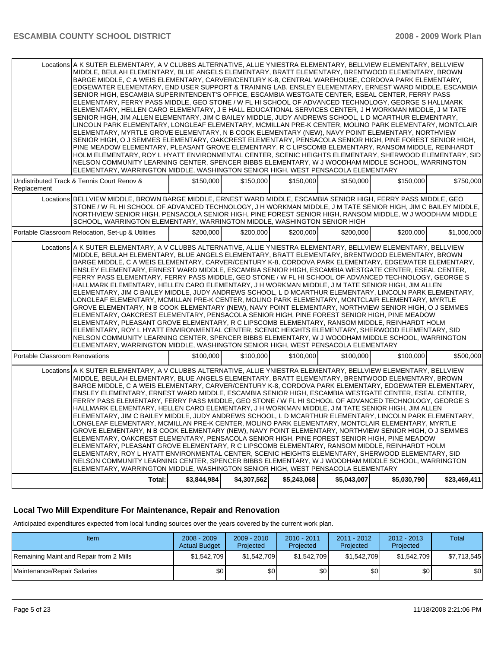| Locations A K SUTER ELEMENTARY, A V CLUBBS ALTERNATIVE, ALLIE YNIESTRA ELEMENTARY, BELLVIEW ELEMENTARY, BELLVIEW<br>MIDDLE, BEULAH ELEMENTARY, BLUE ANGELS ELEMENTARY, BRATT ELEMENTARY, BRENTWOOD ELEMENTARY, BROWN<br>BARGE MIDDLE, C A WEIS ELEMENTARY, CARVER/CENTURY K-8, CENTRAL WAREHOUSE, CORDOVA PARK ELEMENTARY,<br>EDGEWATER ELEMENTARY, END USER SUPPORT & TRAINING LAB, ENSLEY ELEMENTARY, ERNEST WARD MIDDLE, ESCAMBIA<br>SENIOR HIGH, ESCAMBIA SUPERINTENDENT'S OFFICE, ESCAMBIA WESTGATE CENTER, ESEAL CENTER, FERRY PASS<br>ELEMENTARY, FERRY PASS MIDDLE, GEO STONE / W FL HI SCHOOL OF ADVANCED TECHNOLOGY, GEORGE S HALLMARK<br>ELEMENTARY, HELLEN CARO ELEMENTARY, J E HALL EDUCATIONAL SERVICES CENTER, J H WORKMAN MIDDLE, J M TATE<br>SENIOR HIGH, JIM ALLEN ELEMENTARY, JIM C BAILEY MIDDLE, JUDY ANDREWS SCHOOL, L D MCARTHUR ELEMENTARY,<br>LINCOLN PARK ELEMENTARY, LONGLEAF ELEMENTARY, MCMILLAN PRE-K CENTER, MOLINO PARK ELEMENTARY, MONTCLAIR<br>ELEMENTARY, MYRTLE GROVE ELEMENTARY, N B COOK ELEMENTARY (NEW), NAVY POINT ELEMENTARY, NORTHVIEW<br>SENIOR HIGH, O J SEMMES ELEMENTARY, OAKCREST ELEMENTARY, PENSACOLA SENIOR HIGH, PINE FOREST SENIOR HIGH,<br>PINE MEADOW ELEMENTARY. PLEASANT GROVE ELEMENTARY. R C LIPSCOMB ELEMENTARY. RANSOM MIDDLE. REINHARDT<br>HOLM ELEMENTARY, ROY L HYATT ENVIRONMENTAL CENTER, SCENIC HEIGHTS ELEMENTARY, SHERWOOD ELEMENTARY, SID<br>NELSON COMMUNITY LEARNING CENTER, SPENCER BIBBS ELEMENTARY, W J WOODHAM MIDDLE SCHOOL, WARRINGTON<br>ELEMENTARY, WARRINGTON MIDDLE, WASHINGTON SENIOR HIGH, WEST PENSACOLA ELEMENTARY |             |             |             |             |             |              |
|----------------------------------------------------------------------------------------------------------------------------------------------------------------------------------------------------------------------------------------------------------------------------------------------------------------------------------------------------------------------------------------------------------------------------------------------------------------------------------------------------------------------------------------------------------------------------------------------------------------------------------------------------------------------------------------------------------------------------------------------------------------------------------------------------------------------------------------------------------------------------------------------------------------------------------------------------------------------------------------------------------------------------------------------------------------------------------------------------------------------------------------------------------------------------------------------------------------------------------------------------------------------------------------------------------------------------------------------------------------------------------------------------------------------------------------------------------------------------------------------------------------------------------------------------------------------------------------------------------|-------------|-------------|-------------|-------------|-------------|--------------|
| Undistributed Track & Tennis Court Renov &<br>Replacement                                                                                                                                                                                                                                                                                                                                                                                                                                                                                                                                                                                                                                                                                                                                                                                                                                                                                                                                                                                                                                                                                                                                                                                                                                                                                                                                                                                                                                                                                                                                                | \$150,000   | \$150,000   | \$150,000   | \$150,000   | \$150,000   | \$750,000    |
| Locations BELLVIEW MIDDLE, BROWN BARGE MIDDLE, ERNEST WARD MIDDLE, ESCAMBIA SENIOR HIGH, FERRY PASS MIDDLE, GEO<br>STONE / W FL HI SCHOOL OF ADVANCED TECHNOLOGY, J H WORKMAN MIDDLE, J M TATE SENIOR HIGH, JIM C BAILEY MIDDLE,<br>NORTHVIEW SENIOR HIGH, PENSACOLA SENIOR HIGH, PINE FOREST SENIOR HIGH, RANSOM MIDDLE, W J WOODHAM MIDDLE<br>SCHOOL, WARRINGTON ELEMENTARY, WARRINGTON MIDDLE, WASHINGTON SENIOR HIGH                                                                                                                                                                                                                                                                                                                                                                                                                                                                                                                                                                                                                                                                                                                                                                                                                                                                                                                                                                                                                                                                                                                                                                                 |             |             |             |             |             |              |
| Portable Classroom Relocation, Set-up & Utilities                                                                                                                                                                                                                                                                                                                                                                                                                                                                                                                                                                                                                                                                                                                                                                                                                                                                                                                                                                                                                                                                                                                                                                                                                                                                                                                                                                                                                                                                                                                                                        | \$200,000   | \$200,000   | \$200,000   | \$200,000   | \$200,000   | \$1,000,000  |
| Locations   A K SUTER ELEMENTARY, A V CLUBBS ALTERNATIVE, ALLIE YNIESTRA ELEMENTARY, BELLVIEW ELEMENTARY, BELLVIEW<br>MIDDLE, BEULAH ELEMENTARY, BLUE ANGELS ELEMENTARY, BRATT ELEMENTARY, BRENTWOOD ELEMENTARY, BROWN<br>BARGE MIDDLE, C A WEIS ELEMENTARY, CARVER/CENTURY K-8, CORDOVA PARK ELEMENTARY, EDGEWATER ELEMENTARY,<br>ENSLEY ELEMENTARY, ERNEST WARD MIDDLE, ESCAMBIA SENIOR HIGH, ESCAMBIA WESTGATE CENTER, ESEAL CENTER,<br>FERRY PASS ELEMENTARY, FERRY PASS MIDDLE, GEO STONE / W FL HI SCHOOL OF ADVANCED TECHNOLOGY, GEORGE S<br>HALLMARK ELEMENTARY, HELLEN CARO ELEMENTARY, J H WORKMAN MIDDLE, J M TATE SENIOR HIGH, JIM ALLEN<br>ELEMENTARY, JIM C BAILEY MIDDLE, JUDY ANDREWS SCHOOL, L D MCARTHUR ELEMENTARY, LINCOLN PARK ELEMENTARY,<br>LONGLEAF ELEMENTARY, MCMILLAN PRE-K CENTER, MOLINO PARK ELEMENTARY, MONTCLAIR ELEMENTARY, MYRTLE<br>GROVE ELEMENTARY, N B COOK ELEMENTARY (NEW), NAVY POINT ELEMENTARY, NORTHVIEW SENIOR HIGH, O J SEMMES<br>ELEMENTARY, OAKCREST ELEMENTARY, PENSACOLA SENIOR HIGH, PINE FOREST SENIOR HIGH, PINE MEADOW<br>ELEMENTARY, PLEASANT GROVE ELEMENTARY, R C LIPSCOMB ELEMENTARY, RANSOM MIDDLE, REINHARDT HOLM<br>ELEMENTARY, ROY L HYATT ENVIRONMENTAL CENTER, SCENIC HEIGHTS ELEMENTARY, SHERWOOD ELEMENTARY, SID<br>NELSON COMMUNITY LEARNING CENTER, SPENCER BIBBS ELEMENTARY, W J WOODHAM MIDDLE SCHOOL, WARRINGTON<br>ELEMENTARY, WARRINGTON MIDDLE, WASHINGTON SENIOR HIGH, WEST PENSACOLA ELEMENTARY                                                                                                                              |             |             |             |             |             |              |
| Portable Classroom Renovations                                                                                                                                                                                                                                                                                                                                                                                                                                                                                                                                                                                                                                                                                                                                                                                                                                                                                                                                                                                                                                                                                                                                                                                                                                                                                                                                                                                                                                                                                                                                                                           | \$100,000   | \$100,000   | \$100,000   | \$100,000   | \$100,000   | \$500,000    |
| Locations A K SUTER ELEMENTARY, A V CLUBBS ALTERNATIVE, ALLIE YNIESTRA ELEMENTARY, BELLVIEW ELEMENTARY, BELLVIEW<br>MIDDLE, BEULAH ELEMENTARY, BLUE ANGELS ELEMENTARY, BRATT ELEMENTARY, BRENTWOOD ELEMENTARY, BROWN<br>BARGE MIDDLE, C A WEIS ELEMENTARY, CARVER/CENTURY K-8, CORDOVA PARK ELEMENTARY, EDGEWATER ELEMENTARY,<br>ENSLEY ELEMENTARY, ERNEST WARD MIDDLE, ESCAMBIA SENIOR HIGH, ESCAMBIA WESTGATE CENTER, ESEAL CENTER,<br>FERRY PASS ELEMENTARY, FERRY PASS MIDDLE, GEO STONE / W FL HI SCHOOL OF ADVANCED TECHNOLOGY, GEORGE S<br>HALLMARK ELEMENTARY, HELLEN CARO ELEMENTARY, J H WORKMAN MIDDLE, J M TATE SENIOR HIGH, JIM ALLEN<br>ELEMENTARY, JIM C BAILEY MIDDLE, JUDY ANDREWS SCHOOL, L D MCARTHUR ELEMENTARY, LINCOLN PARK ELEMENTARY,<br>LONGLEAF ELEMENTARY, MCMILLAN PRE-K CENTER, MOLINO PARK ELEMENTARY, MONTCLAIR ELEMENTARY, MYRTLE<br>GROVE ELEMENTARY, N B COOK ELEMENTARY (NEW), NAVY POINT ELEMENTARY, NORTHVIEW SENIOR HIGH, O J SEMMES<br>ELEMENTARY, OAKCREST ELEMENTARY, PENSACOLA SENIOR HIGH, PINE FOREST SENIOR HIGH, PINE MEADOW<br>ELEMENTARY, PLEASANT GROVE ELEMENTARY, R C LIPSCOMB ELEMENTARY, RANSOM MIDDLE, REINHARDT HOLM<br>ELEMENTARY, ROY L HYATT ENVIRONMENTAL CENTER, SCENIC HEIGHTS ELEMENTARY, SHERWOOD ELEMENTARY, SID<br>NELSON COMMUNITY LEARNING CENTER, SPENCER BIBBS ELEMENTARY, W J WOODHAM MIDDLE SCHOOL, WARRINGTON<br>ELEMENTARY, WARRINGTON MIDDLE, WASHINGTON SENIOR HIGH, WEST PENSACOLA ELEMENTARY                                                                                                                                |             |             |             |             |             |              |
| Total:                                                                                                                                                                                                                                                                                                                                                                                                                                                                                                                                                                                                                                                                                                                                                                                                                                                                                                                                                                                                                                                                                                                                                                                                                                                                                                                                                                                                                                                                                                                                                                                                   | \$3,844,984 | \$4,307,562 | \$5,243,068 | \$5,043,007 | \$5,030,790 | \$23,469,411 |

#### **Local Two Mill Expenditure For Maintenance, Repair and Renovation**

Anticipated expenditures expected from local funding sources over the years covered by the current work plan.

| Item                                    | $2008 - 2009$<br><b>Actual Budget</b> | $2009 - 2010$<br>Projected | $2010 - 2011$<br>Projected | 2011 - 2012<br>Projected | $2012 - 2013$<br>Projected | Total       |
|-----------------------------------------|---------------------------------------|----------------------------|----------------------------|--------------------------|----------------------------|-------------|
| Remaining Maint and Repair from 2 Mills | \$1,542,709                           | \$1,542,709                | \$1,542,709                | \$1,542,709              | \$1.542.709                | \$7,713,545 |
| Maintenance/Repair Salaries             | \$0                                   | \$0                        | \$0 <sub>1</sub>           | \$0                      | \$0                        | \$0         |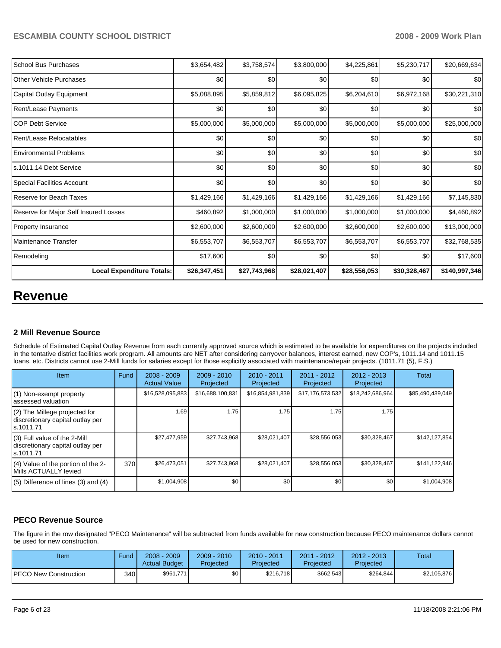| School Bus Purchases                  | \$3,654,482  | \$3,758,574  | \$3,800,000  | \$4,225,861  | \$5,230,717  | \$20,669,634  |
|---------------------------------------|--------------|--------------|--------------|--------------|--------------|---------------|
| Other Vehicle Purchases               | \$0          | \$0          | \$0          | \$0          | \$0          | \$0           |
| Capital Outlay Equipment              | \$5,088,895  | \$5,859,812  | \$6,095,825  | \$6,204,610  | \$6,972,168  | \$30,221,310  |
| <b>Rent/Lease Payments</b>            | \$0          | \$0          | \$0          | \$0          | \$0          | \$0           |
| <b>COP Debt Service</b>               | \$5,000,000  | \$5,000,000  | \$5,000,000  | \$5,000,000  | \$5,000,000  | \$25,000,000  |
| Rent/Lease Relocatables               | \$0          | \$0          | \$0          | \$0          | \$0          | \$0           |
| <b>Environmental Problems</b>         | \$0          | \$0          | \$0          | \$0          | \$0          | \$0           |
| s.1011.14 Debt Service                | \$0          | \$0          | \$0          | \$0          | \$0          | \$0           |
| <b>Special Facilities Account</b>     | \$0          | \$0          | \$0          | \$0          | \$0          | \$0           |
| Reserve for Beach Taxes               | \$1,429,166  | \$1,429,166  | \$1,429,166  | \$1,429,166  | \$1,429,166  | \$7,145,830   |
| Reserve for Major Self Insured Losses | \$460,892    | \$1,000,000  | \$1,000,000  | \$1,000,000  | \$1,000,000  | \$4,460,892   |
| <b>Property Insurance</b>             | \$2,600,000  | \$2,600,000  | \$2,600,000  | \$2,600,000  | \$2,600,000  | \$13,000,000  |
| Maintenance Transfer                  | \$6,553,707  | \$6,553,707  | \$6,553,707  | \$6,553,707  | \$6,553,707  | \$32,768,535  |
| Remodeling                            | \$17,600     | \$0          | \$0          | \$0          | \$0          | \$17,600      |
| <b>Local Expenditure Totals:</b>      | \$26,347,451 | \$27,743,968 | \$28,021,407 | \$28,556,053 | \$30,328,467 | \$140,997,346 |

# **Revenue**

#### **2 Mill Revenue Source**

Schedule of Estimated Capital Outlay Revenue from each currently approved source which is estimated to be available for expenditures on the projects included in the tentative district facilities work program. All amounts are NET after considering carryover balances, interest earned, new COP's, 1011.14 and 1011.15 loans, etc. Districts cannot use 2-Mill funds for salaries except for those explicitly associated with maintenance/repair projects. (1011.71 (5), F.S.)

| Item                                                                              | Fund | $2008 - 2009$<br><b>Actual Value</b> | $2009 - 2010$<br>Projected | $2010 - 2011$<br>Projected | $2011 - 2012$<br>Projected | $2012 - 2013$<br>Projected | Total            |
|-----------------------------------------------------------------------------------|------|--------------------------------------|----------------------------|----------------------------|----------------------------|----------------------------|------------------|
| $(1)$ Non-exempt property<br>lassessed valuation                                  |      | \$16,528,095,883                     | \$16,688,100,831           | \$16,854,981,839           | \$17,176,573,532           | \$18,242,686,964           | \$85,490,439,049 |
| $(2)$ The Millege projected for<br>discretionary capital outlay per<br>ls.1011.71 |      | 1.69                                 | 1.75                       | 1.75                       | 1.75                       | 1.75                       |                  |
| (3) Full value of the 2-Mill<br>discretionary capital outlay per<br>ls.1011.71    |      | \$27,477,959                         | \$27,743,968               | \$28,021,407               | \$28,556,053               | \$30,328,467               | \$142,127,854    |
| (4) Value of the portion of the 2-<br>Mills ACTUALLY levied                       | 370  | \$26,473,051                         | \$27,743,968               | \$28,021,407               | \$28,556,053               | \$30,328,467               | \$141,122,946    |
| $(5)$ Difference of lines (3) and (4)                                             |      | \$1,004,908                          | \$0 <sub>1</sub>           | \$0                        | \$0                        | \$0                        | \$1,004,908      |

# **PECO Revenue Source**

The figure in the row designated "PECO Maintenance" will be subtracted from funds available for new construction because PECO maintenance dollars cannot be used for new construction.

| Item                   | <b>Fund</b> | $2008 - 2009$<br><b>Actual Budget</b> | $2009 - 2010$<br>Projected | 2010 - 2011<br>Projected | $2011 - 2012$<br>Projected | $2012 - 2013$<br>Projected | Total       |
|------------------------|-------------|---------------------------------------|----------------------------|--------------------------|----------------------------|----------------------------|-------------|
| IPECO New Construction | 340 I       | \$961,771                             | \$0 <sub>1</sub>           | \$216.718                | \$662,543                  | \$264,844                  | \$2,105,876 |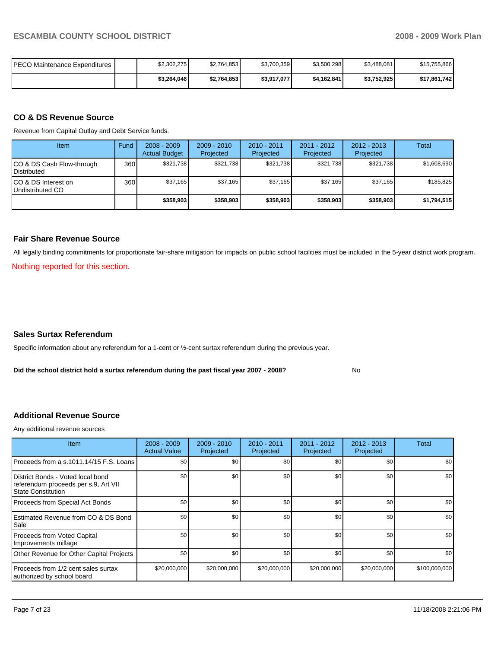| IPECO Maintenance Expenditures | \$2.302.275 | \$2,764,853 | \$3.700.359 | \$3,500,298 | \$3,488,081 | \$15.755.866 |
|--------------------------------|-------------|-------------|-------------|-------------|-------------|--------------|
|                                | \$3,264,046 | \$2,764,853 | \$3,917,077 | \$4.162.841 | \$3,752,925 | \$17.861.742 |

#### **CO & DS Revenue Source**

Revenue from Capital Outlay and Debt Service funds.

| Item                                               | Fund | $2008 - 2009$<br><b>Actual Budget</b> | $2009 - 2010$<br>Projected | $2010 - 2011$<br>Projected | $2011 - 2012$<br>Projected | $2012 - 2013$<br>Projected | Total       |
|----------------------------------------------------|------|---------------------------------------|----------------------------|----------------------------|----------------------------|----------------------------|-------------|
| ICO & DS Cash Flow-through<br><b>I</b> Distributed | 360  | \$321.738                             | \$321,738                  | \$321,738                  | \$321.738                  | \$321.738                  | \$1,608,690 |
| ICO & DS Interest on<br>Undistributed CO           | 360  | \$37.165                              | \$37,165                   | \$37.165                   | \$37.165                   | \$37.165                   | \$185.825   |
|                                                    |      | \$358,903                             | \$358,903                  | \$358,903                  | \$358,903                  | \$358,903                  | \$1,794,515 |

#### **Fair Share Revenue Source**

All legally binding commitments for proportionate fair-share mitigation for impacts on public school facilities must be included in the 5-year district work program. Nothing reported for this section.

#### **Sales Surtax Referendum**

Specific information about any referendum for a 1-cent or ½-cent surtax referendum during the previous year.

**Did the school district hold a surtax referendum during the past fiscal year 2007 - 2008?** No

#### **Additional Revenue Source**

Any additional revenue sources

| Item                                                                                            | $2008 - 2009$<br><b>Actual Value</b> | $2009 - 2010$<br>Projected | $2010 - 2011$<br>Projected | 2011 - 2012<br>Projected | $2012 - 2013$<br>Projected | Total            |
|-------------------------------------------------------------------------------------------------|--------------------------------------|----------------------------|----------------------------|--------------------------|----------------------------|------------------|
| Proceeds from a s.1011.14/15 F.S. Loans                                                         | \$0                                  | \$0                        | \$0                        | \$0                      | \$0                        | \$0              |
| District Bonds - Voted local bond<br>referendum proceeds per s.9, Art VII<br>State Constitution | \$0                                  | \$0                        | \$0                        | \$0                      | \$0                        | \$0              |
| Proceeds from Special Act Bonds                                                                 | \$0                                  | \$0                        | \$0                        | \$0                      | \$0                        | \$0 <sub>1</sub> |
| Estimated Revenue from CO & DS Bond<br>l Sale                                                   | \$0                                  | \$0                        | \$0                        | \$0                      | \$0                        | \$0 <sub>1</sub> |
| Proceeds from Voted Capital<br>Improvements millage                                             | \$0                                  | \$0                        | \$0                        | \$0                      | \$0                        | \$0              |
| Other Revenue for Other Capital Projects                                                        | \$0                                  | \$0                        | \$0                        | \$0                      | \$0                        | \$0              |
| Proceeds from 1/2 cent sales surtax<br>authorized by school board                               | \$20,000,000                         | \$20,000,000               | \$20,000,000               | \$20,000,000             | \$20,000,000               | \$100,000,000    |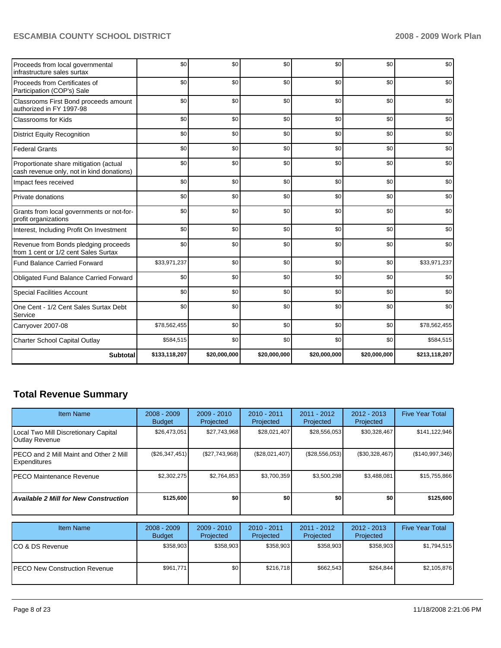| Proceeds from local governmental<br>infrastructure sales surtax                     | \$0           | \$0          | \$0          | \$0          | \$0          | \$0           |
|-------------------------------------------------------------------------------------|---------------|--------------|--------------|--------------|--------------|---------------|
| Proceeds from Certificates of<br>Participation (COP's) Sale                         | \$0           | \$0          | \$0          | \$0          | \$0          | \$0           |
| Classrooms First Bond proceeds amount<br>authorized in FY 1997-98                   | \$0           | \$0          | \$0          | \$0          | \$0          | \$0           |
| Classrooms for Kids                                                                 | \$0           | \$0          | \$0          | \$0          | \$0          | \$0           |
| <b>District Equity Recognition</b>                                                  | \$0           | \$0          | \$0          | \$0          | \$0          | \$0           |
| <b>Federal Grants</b>                                                               | \$0           | \$0          | \$0          | \$0          | \$0          | \$0           |
| Proportionate share mitigation (actual<br>cash revenue only, not in kind donations) | \$0           | \$0          | \$0          | \$0          | \$0          | \$0           |
| Impact fees received                                                                | \$0           | \$0          | \$0          | \$0          | \$0          | \$0           |
| Private donations                                                                   | \$0           | \$0          | \$0          | \$0          | \$0          | \$0           |
| Grants from local governments or not-for-<br>profit organizations                   | \$0           | \$0          | \$0          | \$0          | \$0          | \$0           |
| Interest, Including Profit On Investment                                            | \$0           | \$0          | \$0          | \$0          | \$0          | \$0           |
| Revenue from Bonds pledging proceeds<br>from 1 cent or 1/2 cent Sales Surtax        | \$0           | \$0          | \$0          | \$0          | \$0          | \$0           |
| <b>Fund Balance Carried Forward</b>                                                 | \$33,971,237  | \$0          | \$0          | \$0          | \$0          | \$33,971,237  |
| Obligated Fund Balance Carried Forward                                              | \$0           | \$0          | \$0          | \$0          | \$0          | \$0           |
| <b>Special Facilities Account</b>                                                   | \$0           | \$0          | \$0          | \$0          | \$0          | \$0           |
| One Cent - 1/2 Cent Sales Surtax Debt<br>Service                                    | \$0           | \$0          | \$0          | \$0          | \$0          | \$0           |
| Carryover 2007-08                                                                   | \$78,562,455  | \$0          | \$0          | \$0          | \$0          | \$78,562,455  |
| <b>Charter School Capital Outlay</b>                                                | \$584,515     | \$0          | \$0          | \$0          | \$0          | \$584,515     |
| <b>Subtotal</b>                                                                     | \$133,118,207 | \$20,000,000 | \$20,000,000 | \$20,000,000 | \$20,000,000 | \$213,118,207 |

# **Total Revenue Summary**

| <b>Item Name</b>                                              | $2008 - 2009$<br><b>Budget</b> | $2009 - 2010$<br>Projected | 2010 - 2011<br>Projected | 2011 - 2012<br>Projected | 2012 - 2013<br>Projected | <b>Five Year Total</b> |
|---------------------------------------------------------------|--------------------------------|----------------------------|--------------------------|--------------------------|--------------------------|------------------------|
| Local Two Mill Discretionary Capital<br><b>Outlay Revenue</b> | \$26,473,051                   | \$27,743,968               | \$28,021,407             | \$28,556,053             | \$30,328,467             | \$141,122,946          |
| IPECO and 2 Mill Maint and Other 2 Mill<br>Expenditures       | (\$26,347,451)                 | (\$27,743,968)             | (\$28,021,407)           | (\$28,556,053)           | (\$30,328,467)           | (\$140,997,346)        |
| IPECO Maintenance Revenue                                     | \$2,302,275                    | \$2,764,853                | \$3,700,359              | \$3,500,298              | \$3,488,081              | \$15,755,866           |
| <b>Available 2 Mill for New Construction</b>                  | \$125,600                      | \$0                        | \$0                      | \$0                      | \$0                      | \$125,600              |
|                                                               |                                |                            |                          |                          |                          |                        |
| <b>Item Name</b>                                              | $2008 - 2009$<br><b>Budget</b> | $2009 - 2010$<br>Projected | 2010 - 2011<br>Projected | 2011 - 2012<br>Projected | 2012 - 2013<br>Projected | <b>Five Year Total</b> |
| CO & DS Revenue                                               | \$358,903                      | \$358,903                  | \$358,903                | \$358,903                | \$358,903                | \$1,794,515            |
| <b>PECO New Construction Revenue</b>                          | \$961,771                      | \$0                        | \$216,718                | \$662,543                | \$264,844                | \$2,105,876            |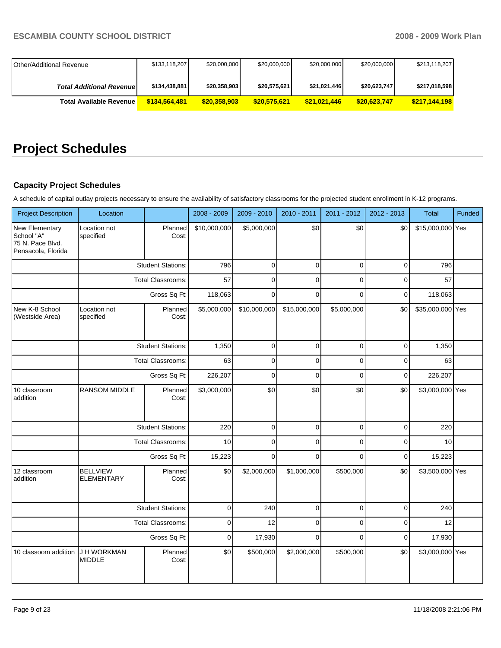| <b>IOther/Additional Revenue</b> | \$133,118,207 | \$20,000,000 | \$20,000,000 | \$20,000,000 | \$20,000,000 | \$213,118,207 |
|----------------------------------|---------------|--------------|--------------|--------------|--------------|---------------|
|                                  |               |              |              |              |              |               |
| <b>Total Additional Revenuel</b> | \$134,438,881 | \$20,358,903 | \$20,575,621 | \$21,021,446 | \$20,623,747 | \$217,018,598 |
| <b>Total Available Revenue</b>   | \$134,564,481 | \$20,358,903 | \$20,575,621 | \$21,021,446 | \$20,623,747 | \$217,144,198 |

# **Project Schedules**

# **Capacity Project Schedules**

A schedule of capital outlay projects necessary to ensure the availability of satisfactory classrooms for the projected student enrollment in K-12 programs.

| <b>Project Description</b>                                             | Location                             |                          | 2008 - 2009  | 2009 - 2010  | 2010 - 2011  | 2011 - 2012 | 2012 - 2013 | <b>Total</b>     | Funded |
|------------------------------------------------------------------------|--------------------------------------|--------------------------|--------------|--------------|--------------|-------------|-------------|------------------|--------|
| New Elementary<br>School "A"<br>75 N. Pace Blvd.<br>Pensacola, Florida | Location not<br>specified            | Planned<br>Cost:         | \$10,000,000 | \$5,000,000  | \$0          | \$0         | \$0         | \$15,000,000 Yes |        |
|                                                                        |                                      | <b>Student Stations:</b> | 796          | $\mathbf 0$  | $\mathbf 0$  | $\mathbf 0$ | $\mathbf 0$ | 796              |        |
|                                                                        |                                      | Total Classrooms:        | 57           | 0            | $\mathbf 0$  | $\mathbf 0$ | $\mathbf 0$ | 57               |        |
|                                                                        |                                      | Gross Sq Ft:             | 118,063      | $\Omega$     | $\Omega$     | $\Omega$    | $\mathbf 0$ | 118,063          |        |
| New K-8 School<br>(Westside Area)                                      | Location not<br>specified            | Planned<br>Cost:         | \$5,000,000  | \$10,000,000 | \$15,000,000 | \$5,000,000 | \$0         | \$35,000,000 Yes |        |
|                                                                        |                                      | <b>Student Stations:</b> | 1,350        | $\mathbf 0$  | $\mathbf 0$  | $\mathbf 0$ | $\mathbf 0$ | 1,350            |        |
|                                                                        |                                      | Total Classrooms:        | 63           | 0            | $\mathbf 0$  | $\mathbf 0$ | $\mathbf 0$ | 63               |        |
|                                                                        |                                      | Gross Sq Ft:             | 226,207      | $\mathbf 0$  | $\mathbf 0$  | $\mathbf 0$ | $\mathbf 0$ | 226,207          |        |
| 10 classroom<br>addition                                               | <b>RANSOM MIDDLE</b>                 | Planned<br>Cost:         | \$3,000,000  | \$0          | \$0          | \$0         | \$0         | \$3,000,000 Yes  |        |
|                                                                        |                                      | <b>Student Stations:</b> | 220          | $\pmb{0}$    | $\mathsf 0$  | $\Omega$    | $\mathsf 0$ | 220              |        |
|                                                                        |                                      | Total Classrooms:        | 10           | 0            | $\mathbf 0$  | $\Omega$    | $\mathbf 0$ | 10               |        |
|                                                                        |                                      | Gross Sq Ft:             | 15,223       | $\mathbf 0$  | $\mathbf 0$  | $\mathbf 0$ | $\mathbf 0$ | 15,223           |        |
| 12 classroom<br>addition                                               | <b>BELLVIEW</b><br><b>ELEMENTARY</b> | Planned<br>Cost:         | \$0          | \$2,000,000  | \$1,000,000  | \$500,000   | \$0         | \$3,500,000 Yes  |        |
|                                                                        |                                      | <b>Student Stations:</b> | $\mathbf 0$  | 240          | $\mathbf 0$  | $\mathbf 0$ | $\mathbf 0$ | 240              |        |
|                                                                        |                                      | Total Classrooms:        | $\pmb{0}$    | 12           | $\mathbf 0$  | $\mathbf 0$ | $\mathbf 0$ | 12               |        |
|                                                                        |                                      | Gross Sq Ft:             | $\mathbf 0$  | 17,930       | $\mathbf 0$  | $\mathbf 0$ | $\mathbf 0$ | 17,930           |        |
| 10 classoom addition                                                   | J H WORKMAN<br><b>MIDDLE</b>         | Planned<br>Cost:         | \$0          | \$500,000    | \$2,000,000  | \$500,000   | \$0         | \$3,000,000 Yes  |        |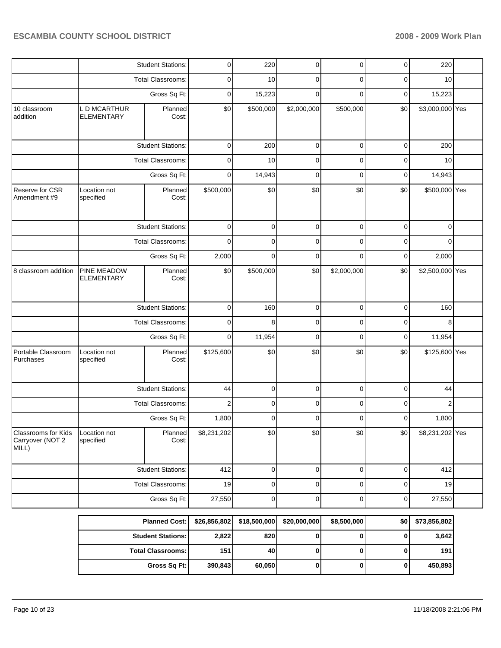|                                                  |                                   | <b>Student Stations:</b> | $\pmb{0}$               | 220          | 0            | 0           | 0           | 220             |  |
|--------------------------------------------------|-----------------------------------|--------------------------|-------------------------|--------------|--------------|-------------|-------------|-----------------|--|
|                                                  |                                   | <b>Total Classrooms:</b> | 0                       | 10           | 0            | 0           | 0           | 10              |  |
|                                                  |                                   | Gross Sq Ft:             | $\mathbf 0$             | 15,223       | $\Omega$     | $\Omega$    | $\mathbf 0$ | 15,223          |  |
| 10 classroom<br>addition                         | L D MCARTHUR<br><b>ELEMENTARY</b> | Planned<br>Cost:         | \$0                     | \$500,000    | \$2,000,000  | \$500,000   | \$0         | \$3,000,000 Yes |  |
|                                                  |                                   | <b>Student Stations:</b> | $\mathbf 0$             | 200          | $\mathbf 0$  | $\mathbf 0$ | $\mathbf 0$ | 200             |  |
|                                                  |                                   | <b>Total Classrooms:</b> | $\mathbf 0$             | 10           | $\mathbf 0$  | $\mathbf 0$ | $\mathbf 0$ | 10              |  |
|                                                  |                                   | Gross Sq Ft:             | $\mathbf 0$             | 14,943       | $\mathbf 0$  | $\mathbf 0$ | $\mathbf 0$ | 14,943          |  |
| Reserve for CSR<br>Amendment #9                  | Location not<br>specified         | Planned<br>Cost:         | \$500,000               | \$0          | \$0          | \$0         | \$0         | \$500,000 Yes   |  |
|                                                  |                                   | <b>Student Stations:</b> | $\pmb{0}$               | 0            | $\mathbf 0$  | 0           | 0           | 0               |  |
|                                                  |                                   | Total Classrooms:        | $\mathbf 0$             | 0            | 0            | $\Omega$    | $\Omega$    | $\Omega$        |  |
|                                                  |                                   | Gross Sq Ft:             | 2,000                   | 0            | $\mathbf 0$  | $\mathbf 0$ | 0           | 2,000           |  |
| 8 classroom addition                             | PINE MEADOW<br><b>ELEMENTARY</b>  | Planned<br>Cost:         | \$0                     | \$500,000    | \$0          | \$2,000,000 | \$0         | \$2,500,000 Yes |  |
|                                                  |                                   | <b>Student Stations:</b> | $\mathbf 0$             | 160          | $\mathbf 0$  | $\mathbf 0$ | $\mathbf 0$ | 160             |  |
|                                                  |                                   | <b>Total Classrooms:</b> | $\mathbf 0$             | 8            | 0            | $\mathbf 0$ | $\mathbf 0$ | 8               |  |
|                                                  |                                   | Gross Sq Ft:             | $\mathbf 0$             | 11,954       | $\mathbf 0$  | $\mathbf 0$ | $\mathbf 0$ | 11,954          |  |
| Portable Classroom<br>Purchases                  | Location not<br>specified         | Planned<br>Cost:         | \$125,600               | \$0          | \$0          | \$0         | \$0         | \$125,600 Yes   |  |
|                                                  |                                   | <b>Student Stations:</b> | 44                      | 0            | $\mathbf 0$  | $\mathbf 0$ | $\mathbf 0$ | 44              |  |
|                                                  |                                   | <b>Total Classrooms:</b> | $\overline{\mathbf{c}}$ | 0            | 0            | 0           | $\mathbf 0$ | $\overline{2}$  |  |
|                                                  |                                   | Gross Sq Ft:             | 1,800                   | 0            | $\Omega$     | $\Omega$    | $\Omega$    | 1,800           |  |
| Classrooms for Kids<br>Carryover (NOT 2<br>MILL) | Location not<br>specified         | Planned<br>Cost:         | \$8,231,202             | \$0          | \$0          | \$0         | \$0         | \$8,231,202 Yes |  |
|                                                  |                                   | <b>Student Stations:</b> | 412                     | 0            | 0            | 0           | 0           | 412             |  |
|                                                  |                                   | <b>Total Classrooms:</b> | 19                      | 0            | 0            | $\mathbf 0$ | $\mathbf 0$ | 19              |  |
|                                                  |                                   | Gross Sq Ft:             | 27,550                  | 0            | 0            | 0           | 0           | 27,550          |  |
|                                                  |                                   | <b>Planned Cost:</b>     | \$26,856,802            | \$18,500,000 | \$20,000,000 | \$8,500,000 | \$0         | \$73,856,802    |  |
|                                                  |                                   | <b>Student Stations:</b> | 2,822                   | 820          | 0            | 0           | $\bf{0}$    | 3,642           |  |
|                                                  |                                   | <b>Total Classrooms:</b> | 151                     | 40           | $\mathbf 0$  | $\mathbf 0$ | $\mathbf 0$ | 191             |  |

**Gross Sq Ft:** 390,843 60,050 0 0 0 450,893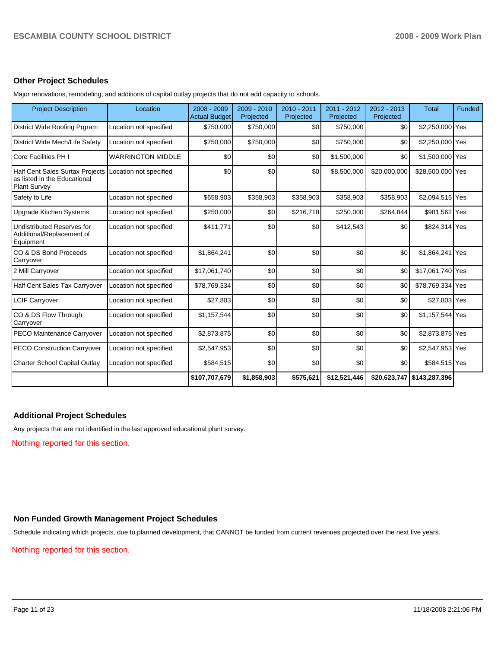#### **Other Project Schedules**

Major renovations, remodeling, and additions of capital outlay projects that do not add capacity to schools.

| <b>Project Description</b>                                                                    | Location                 | $2008 - 2009$<br><b>Actual Budget</b> | 2009 - 2010<br>Projected | 2010 - 2011<br>Projected | 2011 - 2012<br>Projected | $2012 - 2013$<br>Projected | <b>Total</b>               | <b>Funded</b> |
|-----------------------------------------------------------------------------------------------|--------------------------|---------------------------------------|--------------------------|--------------------------|--------------------------|----------------------------|----------------------------|---------------|
| District Wide Roofing Prgram                                                                  | Location not specified   | \$750,000                             | \$750,000                | \$0                      | \$750,000                | \$0                        | \$2,250,000 Yes            |               |
| District Wide Mech/Life Safety                                                                | Location not specified   | \$750,000                             | \$750,000                | \$0                      | \$750,000                | \$0                        | \$2,250,000 Yes            |               |
| Core Facilities PH I                                                                          | <b>WARRINGTON MIDDLE</b> | \$0                                   | \$0                      | \$0                      | \$1,500,000              | \$0                        | \$1,500,000 Yes            |               |
| <b>Half Cent Sales Surtax Projects</b><br>as listed in the Educational<br><b>Plant Survey</b> | Location not specified   | \$0                                   | \$0                      | \$0                      | \$8,500,000              | \$20,000,000               | \$28,500,000 Yes           |               |
| Safety to Life                                                                                | Location not specified   | \$658,903                             | \$358,903                | \$358,903                | \$358,903                | \$358,903                  | \$2,094,515 Yes            |               |
| <b>Upgrade Kitchen Systems</b>                                                                | Location not specified   | \$250,000                             | \$0                      | \$216,718                | \$250,000                | \$264,844                  | \$981,562 Yes              |               |
| <b>Undistributed Reserves for</b><br>Additional/Replacement of<br>Equipment                   | Location not specified   | \$411,771                             | \$0                      | \$0                      | \$412,543                | \$0                        | \$824,314 Yes              |               |
| CO & DS Bond Proceeds<br>Carryover                                                            | Location not specified   | \$1,864,241                           | \$0                      | \$0                      | \$0                      | \$0                        | \$1,864,241 Yes            |               |
| 2 Mill Carryover                                                                              | Location not specified   | \$17,061,740                          | \$0                      | \$0                      | \$0                      | \$0                        | \$17,061,740 Yes           |               |
| <b>Half Cent Sales Tax Carryover</b>                                                          | Location not specified   | \$78,769,334                          | \$0                      | \$0                      | \$0                      | \$0                        | \$78,769,334 Yes           |               |
| <b>LCIF Carryover</b>                                                                         | Location not specified   | \$27,803                              | \$0                      | \$0                      | \$0                      | \$0                        | \$27,803 Yes               |               |
| CO & DS Flow Through<br>Carryover                                                             | Location not specified   | \$1,157,544                           | \$0                      | \$0                      | \$0                      | \$0                        | \$1,157,544 Yes            |               |
| PECO Maintenance Carryover                                                                    | Location not specified   | \$2,873,875                           | \$0                      | \$0                      | \$0                      | \$0                        | \$2,873,875 Yes            |               |
| <b>PECO Construction Carryover</b>                                                            | Location not specified   | \$2,547,953                           | \$0                      | \$0                      | \$0                      | \$0                        | \$2,547,953 Yes            |               |
| <b>Charter School Capital Outlay</b>                                                          | Location not specified   | \$584,515                             | \$0                      | \$0                      | \$0                      | \$0                        | \$584,515 Yes              |               |
|                                                                                               |                          | \$107,707,679                         | \$1,858,903              | \$575,621                | \$12,521,446             |                            | \$20,623,747 \$143,287,396 |               |

#### **Additional Project Schedules**

Any projects that are not identified in the last approved educational plant survey.

Nothing reported for this section.

#### **Non Funded Growth Management Project Schedules**

Schedule indicating which projects, due to planned development, that CANNOT be funded from current revenues projected over the next five years.

Nothing reported for this section.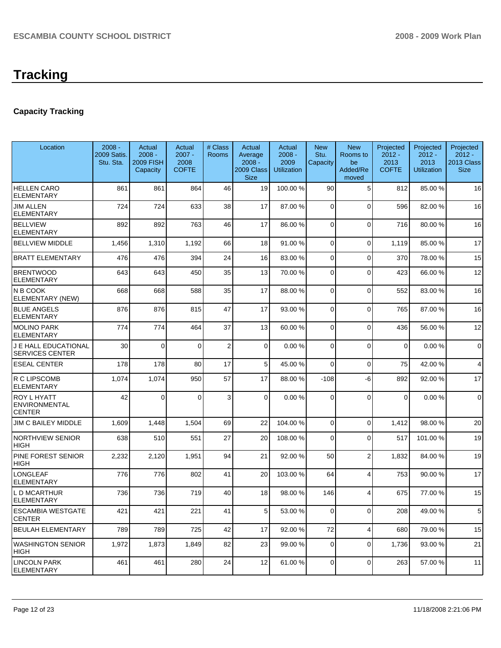# **Capacity Tracking**

| Location                                       | $2008 -$<br>2009 Satis.<br>Stu. Sta. | Actual<br>$2008 -$<br><b>2009 FISH</b><br>Capacity | Actual<br>$2007 -$<br>2008<br><b>COFTE</b> | # Class<br>Rooms        | Actual<br>Average<br>$2008 -$<br>2009 Class<br><b>Size</b> | Actual<br>$2008 -$<br>2009<br><b>Utilization</b> | <b>New</b><br>Stu.<br>Capacity | <b>New</b><br>Rooms to<br>be<br>Added/Re<br>moved | Projected<br>$2012 -$<br>2013<br><b>COFTE</b> | Projected<br>$2012 -$<br>2013<br><b>Utilization</b> | Projected<br>$2012 -$<br>2013 Class<br><b>Size</b> |
|------------------------------------------------|--------------------------------------|----------------------------------------------------|--------------------------------------------|-------------------------|------------------------------------------------------------|--------------------------------------------------|--------------------------------|---------------------------------------------------|-----------------------------------------------|-----------------------------------------------------|----------------------------------------------------|
| <b>HELLEN CARO</b><br><b>ELEMENTARY</b>        | 861                                  | 861                                                | 864                                        | 46                      | 19                                                         | 100.00 %                                         | 90                             | 5                                                 | 812                                           | 85.00 %                                             | 16                                                 |
| JIM ALLEN<br>ELEMENTARY                        | 724                                  | 724                                                | 633                                        | 38                      | 17                                                         | 87.00 %                                          | $\overline{0}$                 | $\mathbf{0}$                                      | 596                                           | 82.00 %                                             | 16                                                 |
| <b>BELLVIEW</b><br><b>ELEMENTARY</b>           | 892                                  | 892                                                | 763                                        | 46                      | 17                                                         | 86.00 %                                          | $\mathbf 0$                    | $\overline{0}$                                    | 716                                           | 80.00 %                                             | 16                                                 |
| <b>BELLVIEW MIDDLE</b>                         | 1,456                                | 1,310                                              | 1,192                                      | 66                      | 18                                                         | 91.00 %                                          | 0                              | 0                                                 | 1,119                                         | 85.00 %                                             | 17                                                 |
| <b>BRATT ELEMENTARY</b>                        | 476                                  | 476                                                | 394                                        | 24                      | 16                                                         | 83.00 %                                          | 0                              | $\Omega$                                          | 370                                           | 78.00 %                                             | 15                                                 |
| <b>BRENTWOOD</b><br><b>ELEMENTARY</b>          | 643                                  | 643                                                | 450                                        | 35                      | 13                                                         | 70.00 %                                          | 0                              | $\Omega$                                          | 423                                           | 66.00 %                                             | 12                                                 |
| N B COOK<br>ELEMENTARY (NEW)                   | 668                                  | 668                                                | 588                                        | 35                      | 17                                                         | 88.00 %                                          | $\mathbf 0$                    | $\mathbf 0$                                       | 552                                           | 83.00 %                                             | 16                                                 |
| <b>BLUE ANGELS</b><br><b>ELEMENTARY</b>        | 876                                  | 876                                                | 815                                        | 47                      | 17                                                         | 93.00 %                                          | $\Omega$                       | $\Omega$                                          | 765                                           | 87.00 %                                             | 16                                                 |
| <b>MOLINO PARK</b><br><b>ELEMENTARY</b>        | 774                                  | 774                                                | 464                                        | 37                      | 13                                                         | 60.00 %                                          | $\mathbf 0$                    | $\overline{0}$                                    | 436                                           | 56.00 %                                             | 12                                                 |
| J E HALL EDUCATIONAL<br><b>SERVICES CENTER</b> | 30                                   | $\Omega$                                           | $\Omega$                                   | $\overline{\mathbf{c}}$ | $\Omega$                                                   | 0.00%                                            | $\Omega$                       | $\Omega$                                          | $\mathbf{0}$                                  | 0.00%                                               | $\mathbf 0$                                        |
| <b>ESEAL CENTER</b>                            | 178                                  | 178                                                | 80                                         | 17                      | 5                                                          | 45.00 %                                          | $\Omega$                       | $\mathbf 0$                                       | 75                                            | 42.00 %                                             | 4                                                  |
| R C LIPSCOMB<br><b>ELEMENTARY</b>              | 1,074                                | 1,074                                              | 950                                        | 57                      | 17                                                         | 88.00 %                                          | $-108$                         | -6                                                | 892                                           | 92.00 %                                             | 17                                                 |
| ROY L HYATT<br>ENVIRONMENTAL<br>CENTER         | 42                                   | $\Omega$                                           | $\Omega$                                   | 3                       | $\Omega$                                                   | 0.00%                                            | $\Omega$                       | $\Omega$                                          | $\overline{0}$                                | 0.00%                                               | $\mathbf 0$                                        |
| <b>JIM C BAILEY MIDDLE</b>                     | 1,609                                | 1,448                                              | 1,504                                      | 69                      | 22                                                         | 104.00%                                          | $\overline{0}$                 | $\mathbf 0$                                       | 1,412                                         | 98.00 %                                             | 20                                                 |
| <b>NORTHVIEW SENIOR</b><br><b>HIGH</b>         | 638                                  | 510                                                | 551                                        | 27                      | 20                                                         | 108.00 %                                         | $\Omega$                       | $\mathbf{0}$                                      | 517                                           | 101.00 %                                            | 19                                                 |
| PINE FOREST SENIOR<br><b>HIGH</b>              | 2,232                                | 2,120                                              | 1,951                                      | 94                      | 21                                                         | 92.00 %                                          | 50                             | $\overline{2}$                                    | 1,832                                         | 84.00 %                                             | 19                                                 |
| LONGLEAF<br><b>ELEMENTARY</b>                  | 776                                  | 776                                                | 802                                        | 41                      | 20                                                         | 103.00 %                                         | 64                             | $\overline{4}$                                    | 753                                           | 90.00 %                                             | 17                                                 |
| L D MCARTHUR<br>ELEMENTARY                     | 736                                  | 736                                                | 719                                        | 40                      | 18                                                         | 98.00 %                                          | 146                            | $\overline{4}$                                    | 675                                           | 77.00 %                                             | 15                                                 |
| <b>ESCAMBIA WESTGATE</b><br><b>CENTER</b>      | 421                                  | 421                                                | 221                                        | 41                      | 5 <sub>1</sub>                                             | 53.00 %                                          | $\overline{0}$                 | 0                                                 | 208                                           | 49.00 %                                             | 5                                                  |
| <b>BEULAH ELEMENTARY</b>                       | 789                                  | 789                                                | 725                                        | 42                      | 17                                                         | 92.00 %                                          | 72                             | $\overline{4}$                                    | 680                                           | 79.00 %                                             | 15                                                 |
| <b>WASHINGTON SENIOR</b><br>HIGH               | 1,972                                | 1,873                                              | 1,849                                      | 82                      | 23                                                         | 99.00 %                                          | $\mathbf 0$                    | 0                                                 | 1,736                                         | 93.00 %                                             | 21                                                 |
| <b>LINCOLN PARK</b><br><b>ELEMENTARY</b>       | 461                                  | 461                                                | 280                                        | 24                      | 12                                                         | 61.00%                                           | 0                              | 0                                                 | 263                                           | 57.00 %                                             | 11                                                 |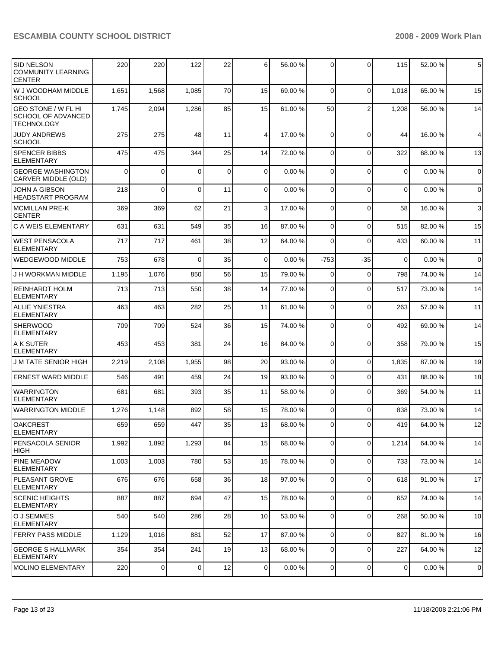| <b>SID NELSON</b><br><b>COMMUNITY LEARNING</b><br><b>CENTER</b>              | 220      | 220            | 122            | 22          | 6           | 56.00 % | 0           | $\Omega$       | 115         | 52.00 % | 5            |
|------------------------------------------------------------------------------|----------|----------------|----------------|-------------|-------------|---------|-------------|----------------|-------------|---------|--------------|
| W J WOODHAM MIDDLE<br><b>SCHOOL</b>                                          | 1,651    | 1,568          | 1,085          | 70          | 15          | 69.00 % | $\mathbf 0$ | $\Omega$       | 1,018       | 65.00 % | 15           |
| <b>GEO STONE / W FL HI</b><br><b>SCHOOL OF ADVANCED</b><br><b>TECHNOLOGY</b> | 1,745    | 2,094          | 1,286          | 85          | 15          | 61.00 % | 50          | $\overline{2}$ | 1,208       | 56.00 % | 14           |
| <b>JUDY ANDREWS</b><br><b>SCHOOL</b>                                         | 275      | 275            | 48             | 11          | 4           | 17.00 % | $\mathbf 0$ | $\Omega$       | 44          | 16.00 % | 4            |
| SPENCER BIBBS<br><b>ELEMENTARY</b>                                           | 475      | 475            | 344            | 25          | 14          | 72.00 % | 0           | $\Omega$       | 322         | 68.00 % | 13           |
| <b>GEORGE WASHINGTON</b><br><b>CARVER MIDDLE (OLD)</b>                       | $\Omega$ | 0              | 0              | $\mathbf 0$ | $\mathbf 0$ | 0.00%   | $\mathbf 0$ | $\Omega$       | 0           | 0.00%   | $\mathbf 0$  |
| <b>JOHN A GIBSON</b><br><b>HEADSTART PROGRAM</b>                             | 218      | 0              | $\Omega$       | 11          | 0           | 0.00%   | $\mathbf 0$ | $\Omega$       | $\mathbf 0$ | 0.00%   | $\mathbf 0$  |
| <b>MCMILLAN PRE-K</b><br><b>CENTER</b>                                       | 369      | 369            | 62             | 21          | 3           | 17.00 % | 0           | $\Omega$       | 58          | 16.00 % | $\mathbf{3}$ |
| C A WEIS ELEMENTARY                                                          | 631      | 631            | 549            | 35          | 16          | 87.00 % | $\mathbf 0$ | $\Omega$       | 515         | 82.00 % | 15           |
| <b>WEST PENSACOLA</b><br><b>ELEMENTARY</b>                                   | 717      | 717            | 461            | 38          | 12          | 64.00 % | 0           | $\Omega$       | 433         | 60.00 % | 11           |
| <b>WEDGEWOOD MIDDLE</b>                                                      | 753      | 678            | $\Omega$       | 35          | 0           | 0.00%   | $-753$      | -35            | $\mathbf 0$ | 0.00%   | $\mathbf 0$  |
| J H WORKMAN MIDDLE                                                           | 1,195    | 1,076          | 850            | 56          | 15          | 79.00 % | 0           | 0              | 798         | 74.00 % | 14           |
| <b>REINHARDT HOLM</b><br><b>ELEMENTARY</b>                                   | 713      | 713            | 550            | 38          | 14          | 77.00 % | 0           | 0              | 517         | 73.00 % | 14           |
| <b>ALLIE YNIESTRA</b><br><b>ELEMENTARY</b>                                   | 463      | 463            | 282            | 25          | 11          | 61.00 % | $\mathbf 0$ | $\Omega$       | 263         | 57.00 % | 11           |
| <b>SHERWOOD</b><br><b>ELEMENTARY</b>                                         | 709      | 709            | 524            | 36          | 15          | 74.00 % | 0           | $\Omega$       | 492         | 69.00 % | 14           |
| A K SUTER<br><b>ELEMENTARY</b>                                               | 453      | 453            | 381            | 24          | 16          | 84.00 % | 0           | $\mathbf 0$    | 358         | 79.00 % | 15           |
| <b>J M TATE SENIOR HIGH</b>                                                  | 2,219    | 2,108          | 1,955          | 98          | 20          | 93.00 % | 0           | $\mathbf 0$    | 1,835       | 87.00 % | 19           |
| <b>ERNEST WARD MIDDLE</b>                                                    | 546      | 491            | 459            | 24          | 19          | 93.00 % | 0           | $\mathbf 0$    | 431         | 88.00 % | 18           |
| <b>WARRINGTON</b><br><b>ELEMENTARY</b>                                       | 681      | 681            | 393            | 35          | 11          | 58.00 % | 0           | $\Omega$       | 369         | 54.00 % | 11           |
| <b>WARRINGTON MIDDLE</b>                                                     | 1,276    | 1,148          | 892            | 58          | 15          | 78.00 % | 0           | $\Omega$       | 838         | 73.00 % | 14           |
| <b>OAKCREST</b><br>ELEMENTARY                                                | 659      | 659            | 447            | 35          | 13          | 68.00 % | $\Omega$    | $\Omega$       | 419         | 64.00 % | 12           |
| <b>PENSACOLA SENIOR</b><br> HIGH                                             | 1,992    | 1,892          | 1,293          | 84          | 15          | 68.00 % | 0           | $\mathbf 0$    | 1,214       | 64.00 % | 14           |
| <b>PINE MEADOW</b><br>ELEMENTARY                                             | 1,003    | 1,003          | 780            | 53          | 15          | 78.00 % | $\mathbf 0$ | $\mathbf 0$    | 733         | 73.00 % | 14           |
| <b>PLEASANT GROVE</b><br>ELEMENTARY                                          | 676      | 676            | 658            | 36          | 18          | 97.00 % | $\mathbf 0$ | $\mathbf 0$    | 618         | 91.00 % | 17           |
| <b>SCENIC HEIGHTS</b><br><b>ELEMENTARY</b>                                   | 887      | 887            | 694            | 47          | 15          | 78.00 % | 0           | $\mathbf 0$    | 652         | 74.00 % | 14           |
| O J SEMMES<br><b>ELEMENTARY</b>                                              | 540      | 540            | 286            | 28          | 10          | 53.00 % | 0           | $\Omega$       | 268         | 50.00 % | 10           |
| <b>FERRY PASS MIDDLE</b>                                                     | 1,129    | 1,016          | 881            | 52          | 17          | 87.00 % | $\mathbf 0$ | $\mathbf 0$    | 827         | 81.00 % | 16           |
| GEORGE S HALLMARK<br><b>ELEMENTARY</b>                                       | 354      | 354            | 241            | 19          | 13          | 68.00 % | 0           | $\mathbf 0$    | 227         | 64.00 % | 12           |
| MOLINO ELEMENTARY                                                            | 220      | $\overline{0}$ | $\overline{0}$ | 12          | $\mathbf 0$ | 0.00%   | $\mathbf 0$ | $\mathbf 0$    | 0           | 0.00%   | $\mathbf 0$  |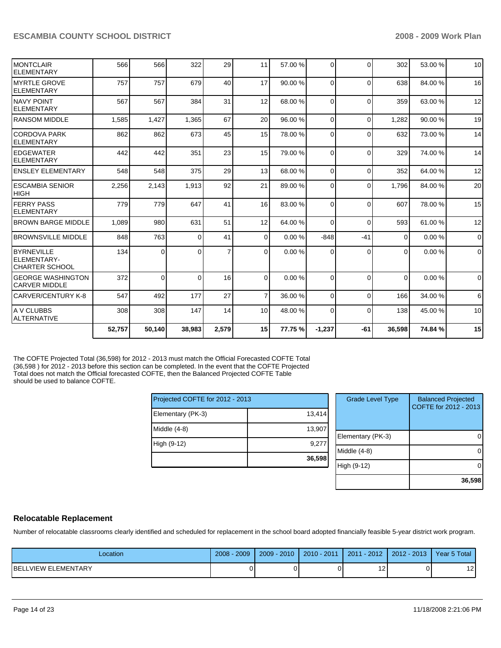| 308   |                           |                |                 |                      |         |                                                                                                         |                                                                                                                                                          |                                                                                                                                  |         |             |
|-------|---------------------------|----------------|-----------------|----------------------|---------|---------------------------------------------------------------------------------------------------------|----------------------------------------------------------------------------------------------------------------------------------------------------------|----------------------------------------------------------------------------------------------------------------------------------|---------|-------------|
|       |                           |                |                 |                      |         |                                                                                                         |                                                                                                                                                          | 138                                                                                                                              | 45.00 % | 10          |
| 547   | 492                       | 177            | 27              |                      |         |                                                                                                         | $\Omega$                                                                                                                                                 | 166                                                                                                                              | 34.00 % | 6           |
| 372   |                           |                | 16              |                      | 0.00%   |                                                                                                         | $\Omega$                                                                                                                                                 | $\Omega$                                                                                                                         | 0.00%   | $\Omega$    |
| 134   | 0                         | 0              | $\overline{7}$  |                      | 0.00%   |                                                                                                         | $\Omega$                                                                                                                                                 | $\Omega$                                                                                                                         | 0.00%   | $\mathbf 0$ |
| 848   | 763                       |                | 41              |                      |         |                                                                                                         | -41                                                                                                                                                      | 0                                                                                                                                | 0.00%   | $\mathbf 0$ |
|       | 980                       | 631            | 51              |                      |         |                                                                                                         | $\Omega$                                                                                                                                                 | 593                                                                                                                              | 61.00 % | 12          |
| 779   | 779                       | 647            | 41              |                      | 83.00 % |                                                                                                         | $\Omega$                                                                                                                                                 | 607                                                                                                                              | 78.00 % | 15          |
| 2,256 | 2,143                     | 1,913          | 92              | 21                   | 89.00 % |                                                                                                         | $\Omega$                                                                                                                                                 | 1,796                                                                                                                            | 84.00 % | 20          |
| 548   | 548                       |                | 29              |                      | 68.00 % |                                                                                                         | $\Omega$                                                                                                                                                 | 352                                                                                                                              | 64.00 % | 12          |
| 442   | 442                       | 351            |                 |                      | 79.00 % |                                                                                                         | $\Omega$                                                                                                                                                 | 329                                                                                                                              | 74.00 % | 14          |
| 862   | 862                       | 673            | 45              |                      | 78.00 % |                                                                                                         | $\Omega$                                                                                                                                                 | 632                                                                                                                              | 73.00 % | 14          |
|       | 1,427                     | 1.365          | 67              |                      |         |                                                                                                         | $\Omega$                                                                                                                                                 | 1,282                                                                                                                            | 90.00 % | 19          |
| 567   | 567                       | 384            | 31              |                      |         |                                                                                                         | $\Omega$                                                                                                                                                 | 359                                                                                                                              | 63.00 % | 12          |
| 757   | 757                       | 679            | 40              |                      |         |                                                                                                         | $\Omega$                                                                                                                                                 | 638                                                                                                                              | 84.00 % | 16          |
| 566   |                           | 322            | 29              |                      | 57.00 % |                                                                                                         | $\Omega$                                                                                                                                                 | 302                                                                                                                              | 53.00 % | 10          |
|       | <b>BROWN BARGE MIDDLE</b> | 1,585<br>1,089 | 566<br>$\Omega$ | 375<br>0<br>$\Omega$ | 23      | 11<br>17<br>12<br>20<br>15<br>15<br>13<br>16<br>12<br>$\overline{0}$<br>0<br>$\Omega$<br>$\overline{7}$ | 90.00 %<br>$\Omega$<br>68.00 %<br>96.00 %<br>$\Omega$<br>$\Omega$<br>$\Omega$<br>0<br>$\Omega$<br>64.00 %<br>$\Omega$<br>0.00%<br>$-848$<br>0<br>36.00 % | $\overline{0}$<br>$\overline{0}$<br>$\overline{0}$<br>$\Omega$<br>$\Omega$<br>147<br>14<br>10<br>308<br>48.00 %<br>0<br>$\Omega$ |         |             |

The COFTE Projected Total (36,598) for 2012 - 2013 must match the Official Forecasted COFTE Total (36,598 ) for 2012 - 2013 before this section can be completed. In the event that the COFTE Projected Total does not match the Official forecasted COFTE, then the Balanced Projected COFTE Table should be used to balance COFTE.

| Projected COFTE for 2012 - 2013 |        |
|---------------------------------|--------|
| Elementary (PK-3)               | 13,414 |
| Middle $(4-8)$                  | 13,907 |
| High (9-12)                     | 9,277  |
|                                 | 36,598 |

| <b>Grade Level Type</b> | <b>Balanced Projected</b><br>COFTE for 2012 - 2013 |
|-------------------------|----------------------------------------------------|
| Elementary (PK-3)       |                                                    |
| Middle $(4-8)$          |                                                    |
| High (9-12)             |                                                    |
|                         | 36,598                                             |

#### **Relocatable Replacement**

Number of relocatable classrooms clearly identified and scheduled for replacement in the school board adopted financially feasible 5-year district work program.

| Location                        | 2009<br>2008 | 2010<br>2009 | $2010 - 2011$ | $-2012$<br>2011 | $2012 - 2013$ | Year 5 Total |
|---------------------------------|--------------|--------------|---------------|-----------------|---------------|--------------|
| LVIEW ELEMENTARY<br><b>BELI</b> |              |              |               | $\sim$          |               | າາ<br>$\sim$ |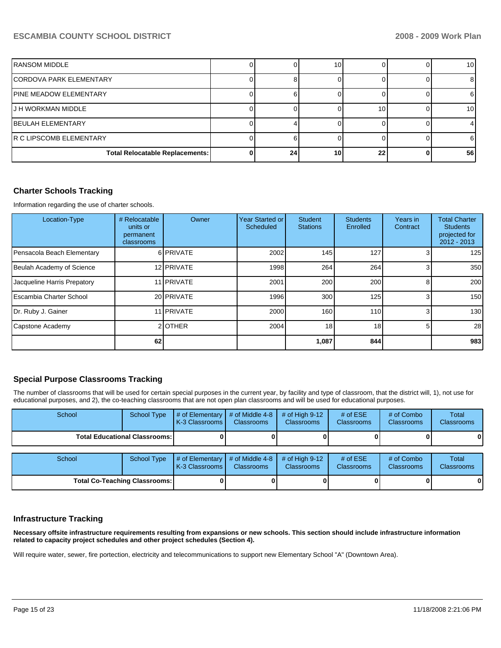| IRANSOM MIDDLE                         |    | 10 |    | 10 |
|----------------------------------------|----|----|----|----|
| ICORDOVA PARK ELEMENTARY               |    |    |    |    |
| IPINE MEADOW ELEMENTARY                |    |    |    |    |
| IJ H WORKMAN MIDDLE                    |    |    | 10 | 10 |
| IBEULAH ELEMENTARY                     |    |    |    |    |
| IR C LIPSCOMB ELEMENTARY               |    |    |    |    |
| <b>Total Relocatable Replacements:</b> | 24 | 10 | 22 | 56 |

# **Charter Schools Tracking**

Information regarding the use of charter schools.

| Location-Type               | # Relocatable<br>units or<br>permanent<br>classrooms | Owner      | Year Started or<br>Scheduled | <b>Student</b><br><b>Stations</b> | <b>Students</b><br>Enrolled | Years in<br>Contract | <b>Total Charter</b><br><b>Students</b><br>projected for<br>$2012 - 2013$ |
|-----------------------------|------------------------------------------------------|------------|------------------------------|-----------------------------------|-----------------------------|----------------------|---------------------------------------------------------------------------|
| Pensacola Beach Elementary  |                                                      | 6 PRIVATE  | 2002                         | 145                               | 127                         |                      | 125                                                                       |
| Beulah Academy of Science   |                                                      | 12 PRIVATE | 1998                         | 264                               | 264                         |                      | 350                                                                       |
| Jacqueline Harris Prepatory |                                                      | 11 PRIVATE | 2001                         | 200                               | 200                         | 8                    | 200                                                                       |
| Escambia Charter School     |                                                      | 20 PRIVATE | 1996                         | 300                               | 125                         | 3 <sub>l</sub>       | 150                                                                       |
| Dr. Ruby J. Gainer          |                                                      | 11 PRIVATE | 2000                         | 160                               | 110 <sup>1</sup>            | 3 <sub>l</sub>       | 130                                                                       |
| Capstone Academy            |                                                      | 2OTHER     | 2004                         | 18 <sub>1</sub>                   | 18 <sup>l</sup>             | 5                    | 28                                                                        |
|                             | 62                                                   |            |                              | 1,087                             | 844                         |                      | 983                                                                       |

#### **Special Purpose Classrooms Tracking**

The number of classrooms that will be used for certain special purposes in the current year, by facility and type of classroom, that the district will, 1), not use for educational purposes, and 2), the co-teaching classrooms that are not open plan classrooms and will be used for educational purposes.

| School                               | <b>School Type</b>                   | # of Elementary<br>K-3 Classrooms     | # of Middle 4-8<br><b>Classrooms</b> | # of High $9-12$<br><b>Classrooms</b> | # of $ESE$<br><b>Classrooms</b> | # of Combo<br><b>Classrooms</b> | Total<br><b>Classrooms</b> |
|--------------------------------------|--------------------------------------|---------------------------------------|--------------------------------------|---------------------------------------|---------------------------------|---------------------------------|----------------------------|
|                                      | <b>Total Educational Classrooms:</b> |                                       |                                      |                                       |                                 |                                 |                            |
| School                               | <b>School Type</b>                   | # of Elementary<br>l K-3 Classrooms I | # of Middle 4-8<br><b>Classrooms</b> | # of High $9-12$<br><b>Classrooms</b> | # of $ESE$<br>Classrooms        | # of Combo<br>Classrooms        | Total<br><b>Classrooms</b> |
| <b>Total Co-Teaching Classrooms:</b> |                                      |                                       |                                      |                                       |                                 |                                 |                            |

#### **Infrastructure Tracking**

**Necessary offsite infrastructure requirements resulting from expansions or new schools. This section should include infrastructure information related to capacity project schedules and other project schedules (Section 4).** 

Will require water, sewer, fire portection, electricity and telecommunications to support new Elementary School "A" (Downtown Area).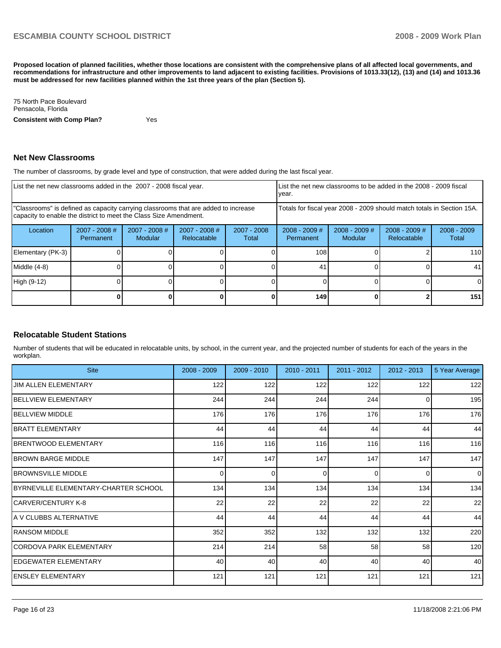**Proposed location of planned facilities, whether those locations are consistent with the comprehensive plans of all affected local governments, and recommendations for infrastructure and other improvements to land adjacent to existing facilities. Provisions of 1013.33(12), (13) and (14) and 1013.36 must be addressed for new facilities planned within the 1st three years of the plan (Section 5).** 

75 North Pace Boulevard�� Pensacola, Florida **Consistent with Comp Plan?** Yes

#### **Net New Classrooms**

The number of classrooms, by grade level and type of construction, that were added during the last fiscal year.

|                                                                                                                                                         | List the net new classrooms added in the 2007 - 2008 fiscal year. |                            |                                                                        |                      |                              | List the net new classrooms to be added in the 2008 - 2009 fiscal<br>year. |                                |                        |
|---------------------------------------------------------------------------------------------------------------------------------------------------------|-------------------------------------------------------------------|----------------------------|------------------------------------------------------------------------|----------------------|------------------------------|----------------------------------------------------------------------------|--------------------------------|------------------------|
| "Classrooms" is defined as capacity carrying classrooms that are added to increase<br>capacity to enable the district to meet the Class Size Amendment. |                                                                   |                            | Totals for fiscal year 2008 - 2009 should match totals in Section 15A. |                      |                              |                                                                            |                                |                        |
| Location                                                                                                                                                | $2007 - 2008$ #<br><b>Permanent</b>                               | $2007 - 2008$ #<br>Modular | $2007 - 2008$ #<br>Relocatable                                         | 2007 - 2008<br>Total | $2008 - 2009$ #<br>Permanent | $2008 - 2009$ #<br>Modular                                                 | $2008 - 2009$ #<br>Relocatable | $2008 - 2009$<br>Total |
| Elementary (PK-3)                                                                                                                                       |                                                                   |                            |                                                                        |                      | 108                          |                                                                            |                                | 110                    |
| Middle (4-8)                                                                                                                                            |                                                                   |                            |                                                                        |                      | 41                           |                                                                            |                                | 41                     |
| High (9-12)                                                                                                                                             |                                                                   |                            |                                                                        |                      |                              |                                                                            |                                | 0                      |
|                                                                                                                                                         |                                                                   |                            |                                                                        |                      | 149                          |                                                                            |                                | 151                    |

# **Relocatable Student Stations**

Number of students that will be educated in relocatable units, by school, in the current year, and the projected number of students for each of the years in the workplan.

| <b>Site</b>                           | 2008 - 2009 | $2009 - 2010$ | 2010 - 2011 | $2011 - 2012$ | $2012 - 2013$ | 5 Year Average |
|---------------------------------------|-------------|---------------|-------------|---------------|---------------|----------------|
| <b>JIM ALLEN ELEMENTARY</b>           | 122         | 122           | 122         | 122           | 122           | 122            |
| <b>BELLVIEW ELEMENTARY</b>            | 244         | 244           | 244         | 244           | $\Omega$      | 195            |
| <b>BELLVIEW MIDDLE</b>                | 176         | 176           | 176         | 176           | 176           | 176            |
| IBRATT ELEMENTARY                     | 44          | 44            | 44          | 44            | 44            | 44             |
| <b>IBRENTWOOD ELEMENTARY</b>          | 116         | 116           | 116         | 116           | 116           | 116            |
| <b>IBROWN BARGE MIDDLE</b>            | 147         | 147           | 147         | 147           | 147           | 147            |
| <b>IBROWNSVILLE MIDDLE</b>            | $\Omega$    | $\Omega$      | $\Omega$    | $\Omega$      | $\Omega$      | $\Omega$       |
| IBYRNEVILLE ELEMENTARY-CHARTER SCHOOL | 134         | 134           | 134         | 134           | 134           | 134            |
| ICARVER/CENTURY K-8                   | 22          | 22            | 22          | 22            | 22            | 22             |
| IA V CLUBBS ALTERNATIVE               | 44          | 44            | 44          | 44            | 44            | 44             |
| IRANSOM MIDDLE                        | 352         | 352           | 132         | 132           | 132           | 220            |
| CORDOVA PARK ELEMENTARY               | 214         | 214           | 58          | 58            | 58            | 120            |
| <b>IEDGEWATER ELEMENTARY</b>          | 40          | 40            | 40          | 40            | 40            | 40             |
| <b>IENSLEY ELEMENTARY</b>             | 121         | 121           | 121         | 121           | 121           | 121            |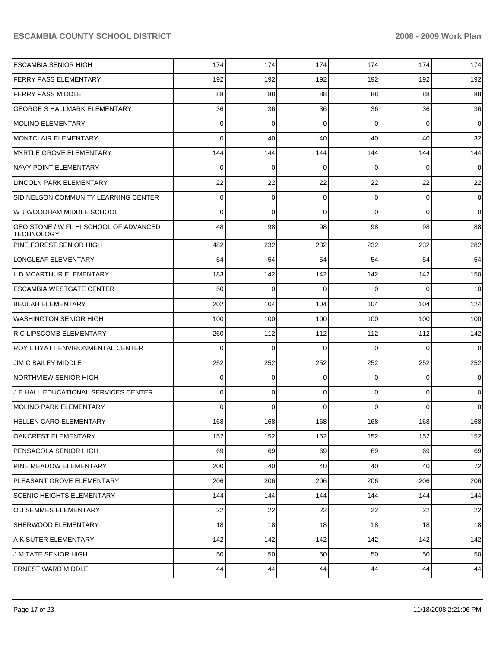| <b>ESCAMBIA SENIOR HIGH</b>                                 | 174      | 174      | 174      | 174      | 174            | 174            |
|-------------------------------------------------------------|----------|----------|----------|----------|----------------|----------------|
| <b>FERRY PASS ELEMENTARY</b>                                | 192      | 192      | 192      | 192      | 192            | 192            |
| <b>FERRY PASS MIDDLE</b>                                    | 88       | 88       | 88       | 88       | 88             | 88             |
| <b>GEORGE S HALLMARK ELEMENTARY</b>                         | 36       | 36       | 36       | 36       | 36             | 36             |
| <b>MOLINO ELEMENTARY</b>                                    | $\Omega$ | 0        | $\Omega$ | $\Omega$ | $\overline{0}$ | $\overline{0}$ |
| <b>MONTCLAIR ELEMENTARY</b>                                 | $\Omega$ | 40       | 40       | 40       | 40             | 32             |
| <b>MYRTLE GROVE ELEMENTARY</b>                              | 144      | 144      | 144      | 144      | 144            | 144            |
| NAVY POINT ELEMENTARY                                       | $\Omega$ | 0        | $\Omega$ | $\Omega$ | $\overline{0}$ | $\overline{0}$ |
| LINCOLN PARK ELEMENTARY                                     | 22       | 22       | 22       | 22       | 22             | 22             |
| SID NELSON COMMUNITY LEARNING CENTER                        | 0        | 0        | $\Omega$ | 0        | $\overline{0}$ | $\overline{0}$ |
| W J WOODHAM MIDDLE SCHOOL                                   | $\Omega$ | 0        | $\Omega$ | $\Omega$ | $\Omega$       | $\overline{0}$ |
| GEO STONE / W FL HI SCHOOL OF ADVANCED<br><b>TECHNOLOGY</b> | 48       | 98       | 98       | 98       | 98             | 88             |
| PINE FOREST SENIOR HIGH                                     | 482      | 232      | 232      | 232      | 232            | 282            |
| <b>LONGLEAF ELEMENTARY</b>                                  | 54       | 54       | 54       | 54       | 54             | 54             |
| L D MCARTHUR ELEMENTARY                                     | 183      | 142      | 142      | 142      | 142            | 150            |
| <b>ESCAMBIA WESTGATE CENTER</b>                             | 50       | $\Omega$ | $\Omega$ | $\Omega$ | $\Omega$       | 10             |
| <b>BEULAH ELEMENTARY</b>                                    | 202      | 104      | 104      | 104      | 104            | 124            |
| WASHINGTON SENIOR HIGH                                      | 100      | 100      | 100      | 100      | 100            | 100            |
| R C LIPSCOMB ELEMENTARY                                     | 260      | 112      | 112      | 112      | 112            | 142            |
| <b>ROY L HYATT ENVIRONMENTAL CENTER</b>                     | $\Omega$ | $\Omega$ | $\Omega$ | $\Omega$ | $\Omega$       | $\overline{0}$ |
| JIM C BAILEY MIDDLE                                         | 252      | 252      | 252      | 252      | 252            | 252            |
| <b>NORTHVIEW SENIOR HIGH</b>                                | 0        | 0        | $\Omega$ | 0        | $\overline{0}$ | $\overline{0}$ |
| J E HALL EDUCATIONAL SERVICES CENTER                        | 0        | 0        | $\Omega$ | 0        | $\overline{0}$ | $\overline{0}$ |
| MOLINO PARK ELEMENTARY                                      | $\Omega$ | 0        | $\Omega$ | 0        | $\Omega$       | $\overline{0}$ |
| HELLEN CARO ELEMENTARY                                      | 168      | 168      | 168      | 168      | 168            | 168            |
| <b>OAKCREST ELEMENTARY</b>                                  | 152      | 152      | 152      | 152      | 152            | 152            |
| PENSACOLA SENIOR HIGH                                       | 69       | 69       | 69       | 69       | 69             | 69             |
| PINE MEADOW ELEMENTARY                                      | 200      | 40       | 40       | 40       | 40             | 72             |
| PLEASANT GROVE ELEMENTARY                                   | 206      | 206      | 206      | 206      | 206            | 206            |
| <b>SCENIC HEIGHTS ELEMENTARY</b>                            | 144      | 144      | 144      | 144      | 144            | 144            |
| O J SEMMES ELEMENTARY                                       | 22       | 22       | 22       | 22       | 22             | 22             |
| SHERWOOD ELEMENTARY                                         | 18       | 18       | 18       | 18       | 18             | 18             |
| A K SUTER ELEMENTARY                                        | 142      | 142      | 142      | 142      | 142            | 142            |
| <b>JM TATE SENIOR HIGH</b>                                  | 50       | 50       | 50       | 50       | 50             | 50             |
| <b>ERNEST WARD MIDDLE</b>                                   | 44       | 44       | 44       | 44       | 44             | 44             |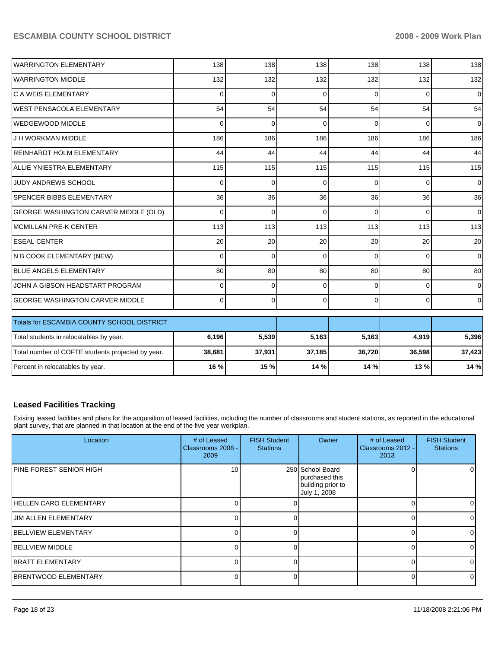| <b>I</b> WARRINGTON ELEMENTARY        | 138      | 138      | 138      | 138      | 138      | 138            |
|---------------------------------------|----------|----------|----------|----------|----------|----------------|
| <b>WARRINGTON MIDDLE</b>              | 132      | 132      | 132      | 132      | 132      | 132            |
| lC A WEIS ELEMENTARY                  | 0        | $\Omega$ | 0        | $\Omega$ | $\Omega$ | $\Omega$       |
| IWEST PENSACOLA ELEMENTARY            | 54       | 54       | 54       | 54       | 54       | 54             |
| <b>IWEDGEWOOD MIDDLE</b>              | $\Omega$ | $\Omega$ | ∩        | $\Omega$ | $\Omega$ | $\Omega$       |
| J H WORKMAN MIDDLE                    | 186      | 186      | 186      | 186      | 186      | 186            |
| REINHARDT HOLM ELEMENTARY             | 44       | 44       | 44       | 44       | 44       | 44             |
| IALLIE YNIESTRA ELEMENTARY            | 115      | 115      | 115      | 115      | 115      | 115            |
| <b>JUDY ANDREWS SCHOOL</b>            | 0        | $\Omega$ | $\Omega$ | $\Omega$ | $\Omega$ | $\Omega$       |
| <b>ISPENCER BIBBS ELEMENTARY</b>      | 36       | 36       | 36       | 36       | 36       | 36             |
| GEORGE WASHINGTON CARVER MIDDLE (OLD) | 0        | $\Omega$ | 0        | $\Omega$ | $\Omega$ | $\Omega$       |
| IMCMILLAN PRE-K CENTER                | 113      | 113      | 113      | 113      | 113      | 113            |
| <b>IESEAL CENTER</b>                  | 20       | 20       | 20       | 20       | 20       | 20             |
| IN B COOK ELEMENTARY (NEW)            | 0        | $\Omega$ | $\Omega$ | $\Omega$ | $\Omega$ | $\Omega$       |
| <b>IBLUE ANGELS ELEMENTARY</b>        | 80       | 80       | 80       | 80       | 80       | 80             |
| JOHN A GIBSON HEADSTART PROGRAM       | 0        | $\Omega$ | ∩        | $\Omega$ | $\Omega$ | $\overline{0}$ |
| IGEORGE WASHINGTON CARVER MIDDLE      | $\Omega$ | $\Omega$ | 0        | $\Omega$ | $\Omega$ | $\overline{0}$ |

| <b>Totals for ESCAMBIA COUNTY SCHOOL DISTRICT</b> |        |        |        |        |         |        |
|---------------------------------------------------|--------|--------|--------|--------|---------|--------|
| Total students in relocatables by year.           | 6,196  | 5,539  | 5,163  | 5,163  | 4.919   | 5,396  |
| Total number of COFTE students projected by year. | 38,681 | 37,931 | 37,185 | 36.720 | 36.598  | 37,423 |
| Percent in relocatables by year.                  | 16 %   | 15 %   | 14%    | 14 %   | $13 \%$ | 14%    |

# **Leased Facilities Tracking**

Exising leased facilities and plans for the acquisition of leased facilities, including the number of classrooms and student stations, as reported in the educational plant survey, that are planned in that location at the end of the five year workplan.

| Location                        | # of Leased<br>Classrooms 2008 -<br>2009 | <b>FISH Student</b><br><b>Stations</b> | <b>Owner</b>                                                            | # of Leased<br>Classrooms 2012 -<br>2013 | <b>FISH Student</b><br><b>Stations</b> |
|---------------------------------|------------------------------------------|----------------------------------------|-------------------------------------------------------------------------|------------------------------------------|----------------------------------------|
| <b>IPINE FOREST SENIOR HIGH</b> | 10                                       |                                        | 250 School Board<br>purchased this<br>building prior to<br>July 1, 2008 |                                          | 01                                     |
| <b>IHELLEN CARO ELEMENTARY</b>  |                                          |                                        |                                                                         |                                          | 01                                     |
| IJIM ALLEN ELEMENTARY           | O                                        |                                        |                                                                         |                                          | $\overline{0}$                         |
| <b>BELLVIEW ELEMENTARY</b>      |                                          |                                        |                                                                         |                                          | $\Omega$                               |
| <b>IBELLVIEW MIDDLE</b>         |                                          |                                        |                                                                         |                                          | $\Omega$                               |
| <b>BRATT ELEMENTARY</b>         |                                          |                                        |                                                                         |                                          | $\Omega$                               |
| <b>BRENTWOOD ELEMENTARY</b>     | 0                                        |                                        |                                                                         | 0                                        | $\overline{0}$                         |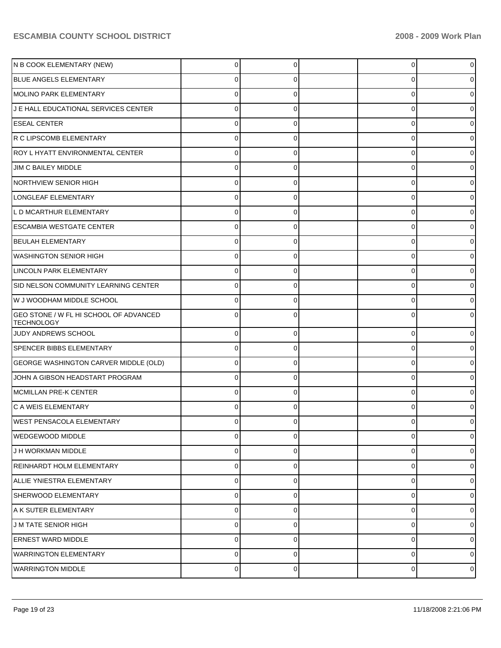| N B COOK ELEMENTARY (NEW)                                   | 0              | 0        | 0 | 0              |
|-------------------------------------------------------------|----------------|----------|---|----------------|
| BLUE ANGELS ELEMENTARY                                      | 0              | 0        | 0 |                |
| MOLINO PARK ELEMENTARY                                      | $\mathbf 0$    | 0        | 0 |                |
| J E HALL EDUCATIONAL SERVICES CENTER                        | 0              | 0        | 0 |                |
| <b>ESEAL CENTER</b>                                         | 0              | 0        | 0 |                |
| R C LIPSCOMB ELEMENTARY                                     | 0              | 0        | 0 |                |
| ROY L HYATT ENVIRONMENTAL CENTER                            | $\mathbf 0$    | 0        | 0 |                |
| JIM C BAILEY MIDDLE                                         | 0              | 0        | 0 |                |
| NORTHVIEW SENIOR HIGH                                       | 0              | 0        | 0 |                |
| LONGLEAF ELEMENTARY                                         | 0              | 0        | 0 |                |
| L D MCARTHUR ELEMENTARY                                     | $\mathbf 0$    | 0        | 0 |                |
| <b>ESCAMBIA WESTGATE CENTER</b>                             | 0              | 0        | 0 |                |
| BEULAH ELEMENTARY                                           | 0              | 0        | 0 |                |
| <b>WASHINGTON SENIOR HIGH</b>                               | $\mathbf 0$    | 0        | 0 |                |
| LINCOLN PARK ELEMENTARY                                     | 0              | 0        | 0 |                |
| SID NELSON COMMUNITY LEARNING CENTER                        | 0              | 0        | 0 |                |
| W J WOODHAM MIDDLE SCHOOL                                   | $\mathbf 0$    | 0        | 0 |                |
| GEO STONE / W FL HI SCHOOL OF ADVANCED<br><b>TECHNOLOGY</b> | $\mathbf 0$    | 0        | 0 |                |
| JUDY ANDREWS SCHOOL                                         | 0              | 0        | 0 | 0              |
| <b>SPENCER BIBBS ELEMENTARY</b>                             | $\mathbf 0$    | 0        | 0 |                |
| GEORGE WASHINGTON CARVER MIDDLE (OLD)                       | $\pmb{0}$      | 0        | 0 | 0              |
| JOHN A GIBSON HEADSTART PROGRAM                             | $\mathbf 0$    | 0        | 0 | 0              |
| MCMILLAN PRE-K CENTER                                       | $\mathbf 0$    | 0        | 0 | 0              |
| C A WEIS ELEMENTARY                                         | $\Omega$       | 0        | 0 |                |
| <b>IWEST PENSACOLA ELEMENTARY</b>                           | $\Omega$       | $\Omega$ | 0 | 0              |
| <b>WEDGEWOOD MIDDLE</b>                                     | $\mathbf 0$    | 0        | 0 | $\Omega$       |
| J H WORKMAN MIDDLE                                          | $\overline{0}$ | $\Omega$ | 0 | $\Omega$       |
| <b>REINHARDT HOLM ELEMENTARY</b>                            | $\pmb{0}$      | 0        | 0 | 0              |
| ALLIE YNIESTRA ELEMENTARY                                   | $\mathbf 0$    | 0        | 0 | $\Omega$       |
| SHERWOOD ELEMENTARY                                         | $\mathbf 0$    | 0        | 0 | 0              |
| A K SUTER ELEMENTARY                                        | $\mathbf 0$    | $\Omega$ | 0 | $\Omega$       |
| <b>J M TATE SENIOR HIGH</b>                                 | $\mathbf 0$    | 0        | 0 | 0              |
| <b>ERNEST WARD MIDDLE</b>                                   | $\mathbf 0$    | 0        | 0 | $\Omega$       |
| <b>WARRINGTON ELEMENTARY</b>                                | $\mathbf 0$    | 0        | 0 | 0              |
| <b>WARRINGTON MIDDLE</b>                                    | $\mathbf 0$    | 0        | 0 | $\overline{0}$ |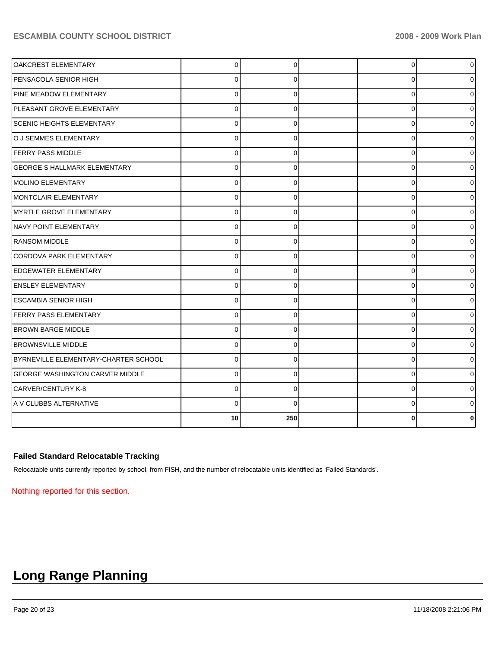| OAKCREST ELEMENTARY                    | $\Omega$ |          | $\overline{0}$ | $\overline{0}$ |
|----------------------------------------|----------|----------|----------------|----------------|
| PENSACOLA SENIOR HIGH                  | $\Omega$ |          | $\Omega$       |                |
| PINE MEADOW ELEMENTARY                 | $\Omega$ | $\Omega$ | $\Omega$       |                |
| PLEASANT GROVE ELEMENTARY              | $\Omega$ | $\Omega$ | 0              | 0              |
| <b>SCENIC HEIGHTS ELEMENTARY</b>       | $\Omega$ | $\Omega$ | $\Omega$       | 0              |
| O J SEMMES ELEMENTARY                  | $\Omega$ | 0        | 0              | 0              |
| <b>FERRY PASS MIDDLE</b>               | $\Omega$ | 0        | 0              | 01             |
| <b>GEORGE S HALLMARK ELEMENTARY</b>    | $\Omega$ | 0        | 0              | 01             |
| <b>IMOLINO ELEMENTARY</b>              | $\Omega$ | $\Omega$ | 0              | 01             |
| <b>IMONTCLAIR ELEMENTARY</b>           | $\Omega$ | $\Omega$ | 0              | $\overline{0}$ |
| MYRTLE GROVE ELEMENTARY                | $\Omega$ | $\Omega$ | 0              | $\Omega$       |
| NAVY POINT ELEMENTARY                  | $\Omega$ | $\Omega$ | 0              | $\overline{0}$ |
| <b>RANSOM MIDDLE</b>                   | $\Omega$ | $\Omega$ | 0              | $\Omega$       |
| CORDOVA PARK ELEMENTARY                | $\Omega$ | $\Omega$ | 0              | $\overline{0}$ |
| <b>EDGEWATER ELEMENTARY</b>            | $\Omega$ | $\Omega$ | 0              | $\Omega$       |
| <b>ENSLEY ELEMENTARY</b>               | $\Omega$ | 0        | 0              | 0              |
| <b>ESCAMBIA SENIOR HIGH</b>            | $\Omega$ | $\Omega$ | 0              | 0              |
| FERRY PASS ELEMENTARY                  | $\Omega$ | $\Omega$ | $\Omega$       | 0              |
| <b>BROWN BARGE MIDDLE</b>              | $\Omega$ | $\Omega$ | $\Omega$       | 0              |
| <b>BROWNSVILLE MIDDLE</b>              | $\Omega$ | $\Omega$ | $\Omega$       | 0              |
| BYRNEVILLE ELEMENTARY-CHARTER SCHOOL   | $\Omega$ | $\Omega$ | $\Omega$       | 0              |
| <b>GEORGE WASHINGTON CARVER MIDDLE</b> | $\Omega$ | $\Omega$ | $\Omega$       | 0              |
| CARVER/CENTURY K-8                     | $\Omega$ | $\Omega$ | $\Omega$       | 0              |
| A V CLUBBS ALTERNATIVE                 | $\Omega$ | $\Omega$ | $\Omega$       |                |
|                                        | 10       | 250      |                |                |

# **Failed Standard Relocatable Tracking**

Relocatable units currently reported by school, from FISH, and the number of relocatable units identified as 'Failed Standards'.

Nothing reported for this section.

# **Long Range Planning**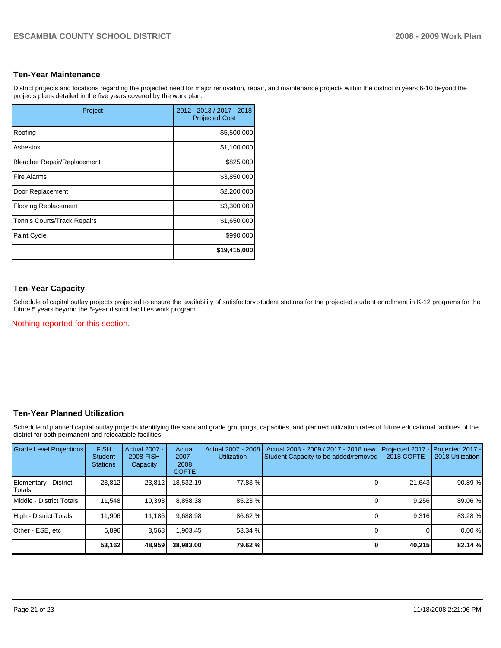# **Ten-Year Maintenance**

District projects and locations regarding the projected need for major renovation, repair, and maintenance projects within the district in years 6-10 beyond the projects plans detailed in the five years covered by the work plan.

| Project                            | 2012 - 2013 / 2017 - 2018<br><b>Projected Cost</b> |
|------------------------------------|----------------------------------------------------|
| Roofing                            | \$5,500,000                                        |
| Asbestos                           | \$1,100,000                                        |
| <b>Bleacher Repair/Replacement</b> | \$825,000                                          |
| <b>Fire Alarms</b>                 | \$3,850,000                                        |
| Door Replacement                   | \$2,200,000                                        |
| <b>Flooring Replacement</b>        | \$3,300,000                                        |
| <b>Tennis Courts/Track Repairs</b> | \$1,650,000                                        |
| Paint Cycle                        | \$990,000                                          |
|                                    | \$19,415,000                                       |

# **Ten-Year Capacity**

Schedule of capital outlay projects projected to ensure the availability of satisfactory student stations for the projected student enrollment in K-12 programs for the future 5 years beyond the 5-year district facilities work program.

Nothing reported for this section.

#### **Ten-Year Planned Utilization**

Schedule of planned capital outlay projects identifying the standard grade groupings, capacities, and planned utilization rates of future educational facilities of the district for both permanent and relocatable facilities.

| Grade Level Projections         | <b>FISH</b><br><b>Student</b><br><b>Stations</b> | Actual 2007 -<br><b>2008 FISH</b><br>Capacity | Actual<br>$2007 -$<br>2008<br><b>COFTE</b> | Actual 2007 - 2008<br><b>Utilization</b> | Actual 2008 - 2009 / 2017 - 2018 new<br>Student Capacity to be added/removed | Projected 2017<br>2018 COFTE | Projected 2017 -<br>2018 Utilization |
|---------------------------------|--------------------------------------------------|-----------------------------------------------|--------------------------------------------|------------------------------------------|------------------------------------------------------------------------------|------------------------------|--------------------------------------|
| Elementary - District<br>Totals | 23.812                                           | 23,812                                        | 18.532.19                                  | 77.83 %                                  |                                                                              | 21,643                       | 90.89 %                              |
| Middle - District Totals        | 11.548                                           | 10,393                                        | 8.858.38                                   | 85.23 %                                  |                                                                              | 9.256                        | 89.06 %                              |
| High - District Totals          | 11.906                                           | 11,186                                        | 9.688.98                                   | 86.62 %                                  |                                                                              | 9.316                        | 83.28 %                              |
| Other - ESE, etc                | 5.896                                            | 3,568                                         | .903.45                                    | 53.34 %                                  |                                                                              |                              | 0.00%                                |
|                                 | 53,162                                           | 48,959                                        | 38,983,00                                  | 79.62 %                                  | $\Omega$                                                                     | 40,215                       | 82.14 %                              |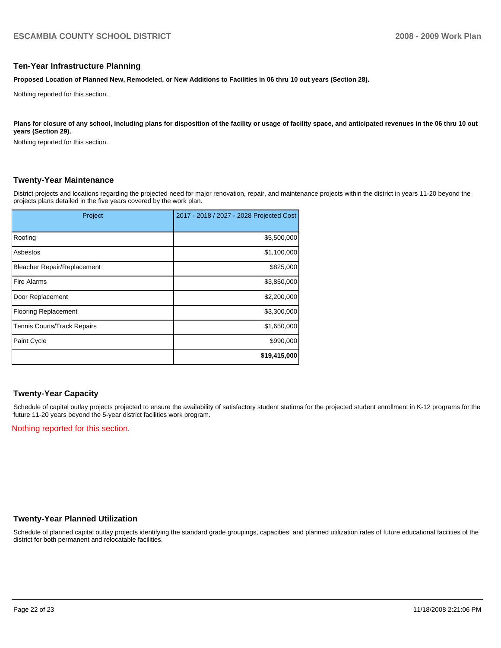#### **Ten-Year Infrastructure Planning**

**Proposed Location of Planned New, Remodeled, or New Additions to Facilities in 06 thru 10 out years (Section 28).** 

Nothing reported for this section.

Plans for closure of any school, including plans for disposition of the facility or usage of facility space, and anticipated revenues in the 06 thru 10 out **years (Section 29).** 

Nothing reported for this section.

# **Twenty-Year Maintenance**

District projects and locations regarding the projected need for major renovation, repair, and maintenance projects within the district in years 11-20 beyond the projects plans detailed in the five years covered by the work plan.

| Project                            | 2017 - 2018 / 2027 - 2028 Projected Cost |
|------------------------------------|------------------------------------------|
| Roofing                            | \$5,500,000                              |
| Asbestos                           | \$1,100,000                              |
| <b>Bleacher Repair/Replacement</b> | \$825,000                                |
| <b>Fire Alarms</b>                 | \$3,850,000                              |
| Door Replacement                   | \$2,200,000                              |
| <b>Flooring Replacement</b>        | \$3,300,000                              |
| <b>Tennis Courts/Track Repairs</b> | \$1,650,000                              |
| Paint Cycle                        | \$990,000                                |
|                                    | \$19,415,000                             |

# **Twenty-Year Capacity**

Schedule of capital outlay projects projected to ensure the availability of satisfactory student stations for the projected student enrollment in K-12 programs for the future 11-20 years beyond the 5-year district facilities work program.

Nothing reported for this section.

#### **Twenty-Year Planned Utilization**

Schedule of planned capital outlay projects identifying the standard grade groupings, capacities, and planned utilization rates of future educational facilities of the district for both permanent and relocatable facilities.